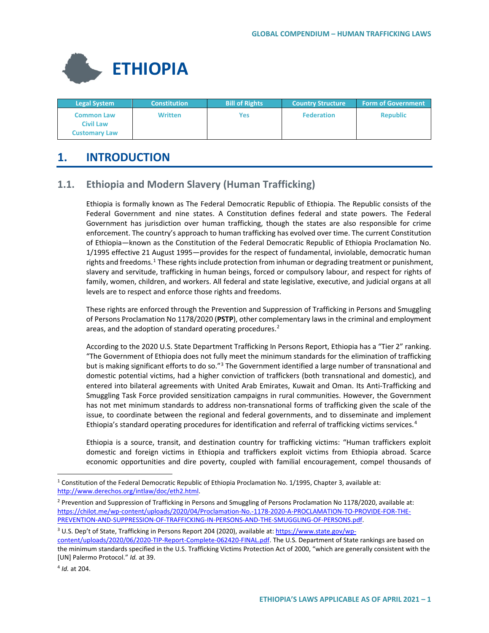

| <b>Legal System</b>                                           | <b>Constitution</b> | <b>Bill of Rights</b> | <b>Country Structure</b> | <b>Form of Government</b> |
|---------------------------------------------------------------|---------------------|-----------------------|--------------------------|---------------------------|
| <b>Common Law</b><br><b>Civil Law</b><br><b>Customary Law</b> | <b>Written</b>      | Yes                   | <b>Federation</b>        | <b>Republic</b>           |

# **1. INTRODUCTION**

# **1.1. Ethiopia and Modern Slavery (Human Trafficking)**

Ethiopia is formally known as The Federal Democratic Republic of Ethiopia. The Republic consists of the Federal Government and nine states. A Constitution defines federal and state powers. The Federal Government has jurisdiction over human trafficking, though the states are also responsible for crime enforcement. The country's approach to human trafficking has evolved over time. The current Constitution of Ethiopia—known as the Constitution of the Federal Democratic Republic of Ethiopia Proclamation No. 1/1995 effective 21 August 1995—provides for the respect of fundamental, inviolable, democratic human rights and freedoms.<sup>[1](#page-0-0)</sup> These rights include protection from inhuman or degrading treatment or punishment, slavery and servitude, trafficking in human beings, forced or compulsory labour, and respect for rights of family, women, children, and workers. All federal and state legislative, executive, and judicial organs at all levels are to respect and enforce those rights and freedoms.

These rights are enforced through the Prevention and Suppression of Trafficking in Persons and Smuggling of Persons Proclamation No 1178/2020 (**PSTP**), other complementary laws in the criminal and employment areas, and the adoption of standard operating procedures. $2$ 

According to the 2020 U.S. State Department Trafficking In Persons Report, Ethiopia has a "Tier 2" ranking. "The Government of Ethiopia does not fully meet the minimum standards for the elimination of trafficking but is making significant efforts to do so."<sup>[3](#page-0-2)</sup> The Government identified a large number of transnational and domestic potential victims, had a higher conviction of traffickers (both transnational and domestic), and entered into bilateral agreements with United Arab Emirates, Kuwait and Oman. Its Anti-Trafficking and Smuggling Task Force provided sensitization campaigns in rural communities. However, the Government has not met minimum standards to address non-transnational forms of trafficking given the scale of the issue, to coordinate between the regional and federal governments, and to disseminate and implement Ethiopia's standard operating procedures for identification and referral of trafficking victims services.<sup>[4](#page-0-3)</sup>

Ethiopia is a source, transit, and destination country for trafficking victims: "Human traffickers exploit domestic and foreign victims in Ethiopia and traffickers exploit victims from Ethiopia abroad. Scarce economic opportunities and dire poverty, coupled with familial encouragement, compel thousands of

<span id="page-0-3"></span><sup>4</sup> *[Id.](https://www.state.gov/reports/2020-trafficking-in-persons-report/ethiopia/)* at 204.

<span id="page-0-0"></span><sup>&</sup>lt;sup>1</sup> Constitution of the Federal Democratic Republic of Ethiopia Proclamation No. 1/1995, Chapter 3, available at: [http://www.derechos.org/intlaw/doc/eth2.html.](http://www.derechos.org/intlaw/doc/eth2.html)

<span id="page-0-1"></span><sup>&</sup>lt;sup>2</sup> Prevention and Suppression of Trafficking in Persons and Smuggling of Persons Proclamation No 1178/2020, available at: [https://chilot.me/wp-content/uploads/2020/04/Proclamation-No.-1178-2020-A-PROCLAMATION-TO-PROVIDE-FOR-THE-](https://chilot.me/wp-content/uploads/2020/04/Proclamation-No.-1178-2020-A-PROCLAMATION-TO-PROVIDE-FOR-THE-PREVENTION-AND-SUPPRESSION-OF-TRAFFICKING-IN-PERSONS-AND-THE-SMUGGLING-OF-PERSONS.pdf)[PREVENTION-AND-SUPPRESSION-OF-TRAFFICKING-IN-PERSONS-AND-THE-SMUGGLING-OF-PERSONS.pdf.](https://chilot.me/wp-content/uploads/2020/04/Proclamation-No.-1178-2020-A-PROCLAMATION-TO-PROVIDE-FOR-THE-PREVENTION-AND-SUPPRESSION-OF-TRAFFICKING-IN-PERSONS-AND-THE-SMUGGLING-OF-PERSONS.pdf)

<span id="page-0-2"></span><sup>&</sup>lt;sup>3</sup> U.S. Dep't of State, Trafficking in Persons Report 204 (2020), available at: [https://www.state.gov/wp-](https://www.state.gov/wp-content/uploads/2020/06/2020-TIP-Report-Complete-062420-FINAL.pdf)

[content/uploads/2020/06/2020-TIP-Report-Complete-062420-FINAL.pdf.](https://www.state.gov/wp-content/uploads/2020/06/2020-TIP-Report-Complete-062420-FINAL.pdf) The U.S. Department of State rankings are based on the minimum standards specified in the U.S. Trafficking Victims Protection Act of 2000, "which are generally consistent with the [UN] Palermo Protocol." *Id.* at 39.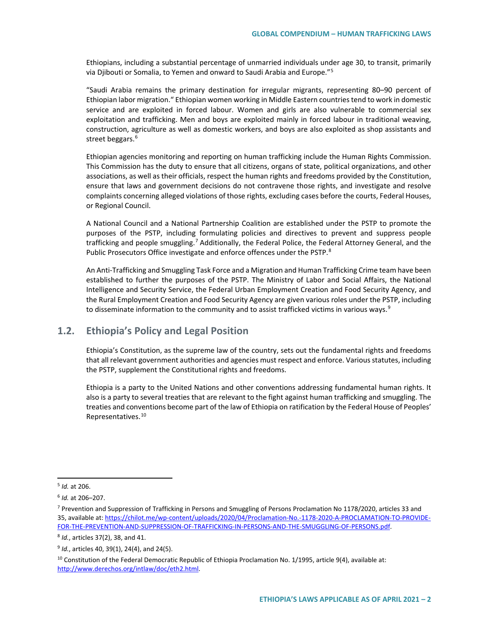Ethiopians, including a substantial percentage of unmarried individuals under age 30, to transit, primarily via Djibouti or Somalia, to Yemen and onward to Saudi Arabia and Europe."[5](#page-1-0)

"Saudi Arabia remains the primary destination for irregular migrants, representing 80–90 percent of Ethiopian labor migration." Ethiopian women working in Middle Eastern countries tend to work in domestic service and are exploited in forced labour. Women and girls are also vulnerable to commercial sex exploitation and trafficking. Men and boys are exploited mainly in forced labour in traditional weaving, construction, agriculture as well as domestic workers, and boys are also exploited as shop assistants and street beggars.<sup>[6](#page-1-1)</sup>

Ethiopian agencies monitoring and reporting on human trafficking include the Human Rights Commission. This Commission has the duty to ensure that all citizens, organs of state, political organizations, and other associations, as well as their officials, respect the human rights and freedoms provided by the Constitution, ensure that laws and government decisions do not contravene those rights, and investigate and resolve complaints concerning alleged violations of those rights, excluding cases before the courts, Federal Houses, or Regional Council.

A National Council and a National Partnership Coalition are established under the PSTP to promote the purposes of the PSTP, including formulating policies and directives to prevent and suppress people trafficking and people smuggling.<sup>[7](#page-1-2)</sup> Additionally, the Federal Police, the Federal Attorney General, and the Public Prosecutors Office investigate and enforce offences under the PSTP.<sup>[8](#page-1-3)</sup>

An Anti-Trafficking and Smuggling Task Force and a Migration and Human Trafficking Crime team have been established to further the purposes of the PSTP. The Ministry of Labor and Social Affairs, the National Intelligence and Security Service, the Federal Urban Employment Creation and Food Security Agency, and the Rural Employment Creation and Food Security Agency are given various roles under the PSTP, including to disseminate information to the community and to assist trafficked victims in various ways.<sup>[9](#page-1-4)</sup>

# **1.2. Ethiopia's Policy and Legal Position**

Ethiopia's Constitution, as the supreme law of the country, sets out the fundamental rights and freedoms that all relevant government authorities and agencies must respect and enforce. Various statutes, including the PSTP, supplement the Constitutional rights and freedoms.

Ethiopia is a party to the United Nations and other conventions addressing fundamental human rights. It also is a party to several treaties that are relevant to the fight against human trafficking and smuggling. The treaties and conventions become part of the law of Ethiopia on ratification by the Federal House of Peoples' Representatives.[10](#page-1-5)

<span id="page-1-3"></span><sup>8</sup> *Id.*, articles 37(2), 38, and 41.

<span id="page-1-0"></span> <sup>5</sup> *Id.* at 206.

<span id="page-1-1"></span><sup>6</sup> *Id.* at 206–207.

<span id="page-1-2"></span><sup>7</sup> Prevention and Suppression of Trafficking in Persons and Smuggling of Persons Proclamation No 1178/2020, articles 33 and 35, available at[: https://chilot.me/wp-content/uploads/2020/04/Proclamation-No.-1178-2020-A-PROCLAMATION-TO-PROVIDE-](https://chilot.me/wp-content/uploads/2020/04/Proclamation-No.-1178-2020-A-PROCLAMATION-TO-PROVIDE-FOR-THE-PREVENTION-AND-SUPPRESSION-OF-TRAFFICKING-IN-PERSONS-AND-THE-SMUGGLING-OF-PERSONS.pdf)[FOR-THE-PREVENTION-AND-SUPPRESSION-OF-TRAFFICKING-IN-PERSONS-AND-THE-SMUGGLING-OF-PERSONS.pdf.](https://chilot.me/wp-content/uploads/2020/04/Proclamation-No.-1178-2020-A-PROCLAMATION-TO-PROVIDE-FOR-THE-PREVENTION-AND-SUPPRESSION-OF-TRAFFICKING-IN-PERSONS-AND-THE-SMUGGLING-OF-PERSONS.pdf)

<span id="page-1-4"></span><sup>9</sup> *Id.*, articles 40, 39(1), 24(4), and 24(5).

<span id="page-1-5"></span><sup>&</sup>lt;sup>10</sup> Constitution of the Federal Democratic Republic of Ethiopia Proclamation No. 1/1995, article 9(4), available at: [http://www.derechos.org/intlaw/doc/eth2.html.](http://www.derechos.org/intlaw/doc/eth2.html)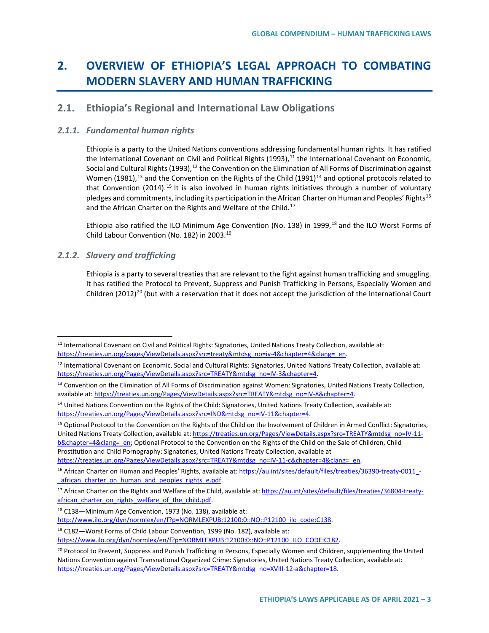# **2. OVERVIEW OF ETHIOPIA'S LEGAL APPROACH TO COMBATING MODERN SLAVERY AND HUMAN TRAFFICKING**

## **2.1. Ethiopia's Regional and International Law Obligations**

#### *2.1.1. Fundamental human rights*

Ethiopia is a party to the United Nations conventions addressing fundamental human rights. It has ratified the International Covenant on Civil and Political Rights  $(1993)<sup>11</sup>$  $(1993)<sup>11</sup>$  $(1993)<sup>11</sup>$  the International Covenant on Economic, Social and Cultural Rights (1993),<sup>[12](#page-2-1)</sup> the Convention on the Elimination of All Forms of Discrimination against Women (1981),<sup>[13](#page-2-2)</sup> and the Convention on the Rights of the Child (1991)<sup>[14](#page-2-3)</sup> and optional protocols related to that Convention (2014).<sup>[15](#page-2-4)</sup> It is also involved in human rights initiatives through a number of voluntary pledges and commitments, including its participation in the African Charter on Human and Peoples' Rights<sup>[16](#page-2-5)</sup> and the African Charter on the Rights and Welfare of the Child.<sup>17</sup>

Ethiopia also ratified the ILO Minimum Age Convention (No. 138) in 1999,<sup>[18](#page-2-7)</sup> and the ILO Worst Forms of Child Labour Convention (No. 182) in 2003.[19](#page-2-8)

#### *2.1.2. Slavery and trafficking*

Ethiopia is a party to several treaties that are relevant to the fight against human trafficking and smuggling. It has ratified the Protocol to Prevent, Suppress and Punish Trafficking in Persons, Especially Women and Children ([20](#page-2-9)12)<sup>20</sup> (but with a reservation that it does not accept the jurisdiction of the International Court

<span id="page-2-4"></span><sup>15</sup> Optional Protocol to the Convention on the Rights of the Child on the Involvement of Children in Armed Conflict: Signatories, United Nations Treaty Collection, available at[: https://treaties.un.org/Pages/ViewDetails.aspx?src=TREATY&mtdsg\\_no=IV-11](https://treaties.un.org/Pages/ViewDetails.aspx?src=TREATY&mtdsg_no=IV-11-b&chapter=4&clang=_en) [b&chapter=4&clang=\\_en;](https://treaties.un.org/Pages/ViewDetails.aspx?src=TREATY&mtdsg_no=IV-11-b&chapter=4&clang=_en) Optional Protocol to the Convention on the Rights of the Child on the Sale of Children, Child Prostitution and Child Pornography: Signatories, United Nations Treaty Collection, available at [https://treaties.un.org/Pages/ViewDetails.aspx?src=TREATY&mtdsg\\_no=IV-11-c&chapter=4&clang=\\_en.](https://treaties.un.org/Pages/ViewDetails.aspx?src=TREATY&mtdsg_no=IV-11-c&chapter=4&clang=_en)

<span id="page-2-0"></span><sup>&</sup>lt;sup>11</sup> International Covenant on Civil and Political Rights: Signatories, United Nations Treaty Collection, available at: [https://treaties.un.org/pages/ViewDetails.aspx?src=treaty&mtdsg\\_no=iv-4&chapter=4&clang=\\_en.](https://treaties.un.org/pages/ViewDetails.aspx?src=treaty&mtdsg_no=iv-4&chapter=4&clang=_en)

<span id="page-2-1"></span><sup>&</sup>lt;sup>12</sup> International Covenant on Economic, Social and Cultural Rights: Signatories, United Nations Treaty Collection, available at: https://treaties.un.org/Pages/ViewDetails.aspx?src=TREATY&mtdsg\_no=IV-3&chapter=4.

<span id="page-2-2"></span><sup>&</sup>lt;sup>13</sup> Convention on the Elimination of All Forms of Discrimination against Women: Signatories, United Nations Treaty Collection, available at[: https://treaties.un.org/Pages/ViewDetails.aspx?src=TREATY&mtdsg\\_no=IV-8&chapter=4.](https://treaties.un.org/Pages/ViewDetails.aspx?src=TREATY&mtdsg_no=IV-8&chapter=4)

<span id="page-2-3"></span><sup>&</sup>lt;sup>14</sup> United Nations Convention on the Rights of the Child: Signatories, United Nations Treaty Collection, available at: [https://treaties.un.org/Pages/ViewDetails.aspx?src=IND&mtdsg\\_no=IV-11&chapter=4.](https://treaties.un.org/Pages/ViewDetails.aspx?src=IND&mtdsg_no=IV-11&chapter=4)

<span id="page-2-5"></span><sup>&</sup>lt;sup>16</sup> African Charter on Human and Peoples' Rights, available at: https://au.int/sites/default/files/treaties/36390-treaty-0011 african charter on human and peoples rights e.pdf.

<span id="page-2-6"></span><sup>&</sup>lt;sup>17</sup> African Charter on the Rights and Welfare of the Child, available at: [https://au.int/sites/default/files/treaties/36804-treaty](https://au.int/sites/default/files/treaties/36804-treaty-african_charter_on_rights_welfare_of_the_child.pdf)[african\\_charter\\_on\\_rights\\_welfare\\_of\\_the\\_child.pdf.](https://au.int/sites/default/files/treaties/36804-treaty-african_charter_on_rights_welfare_of_the_child.pdf)

<span id="page-2-7"></span><sup>18</sup> C138—Minimum Age Convention, 1973 (No. 138), available at:

[http://www.ilo.org/dyn/normlex/en/f?p=NORMLEXPUB:12100:0::NO::P12100\\_ilo\\_code:C138.](http://www.ilo.org/dyn/normlex/en/f?p=NORMLEXPUB:12100:0::NO::P12100_ilo_code:C138)

<span id="page-2-8"></span><sup>19</sup> C182—Worst Forms of Child Labour Convention, 1999 (No. 182), available at:

[https://www.ilo.org/dyn/normlex/en/f?p=NORMLEXPUB:12100:0::NO::P12100\\_ILO\\_CODE:C182.](https://www.ilo.org/dyn/normlex/en/f?p=NORMLEXPUB:12100:0::NO::P12100_ILO_CODE:C182)

<span id="page-2-9"></span><sup>&</sup>lt;sup>20</sup> Protocol to Prevent, Suppress and Punish Trafficking in Persons, Especially Women and Children, supplementing the United Nations Convention against Transnational Organized Crime: Signatories, United Nations Treaty Collection, available at: [https://treaties.un.org/Pages/ViewDetails.aspx?src=TREATY&mtdsg\\_no=XVIII-12-a&chapter=18.](https://treaties.un.org/Pages/ViewDetails.aspx?src=TREATY&mtdsg_no=XVIII-12-a&chapter=18)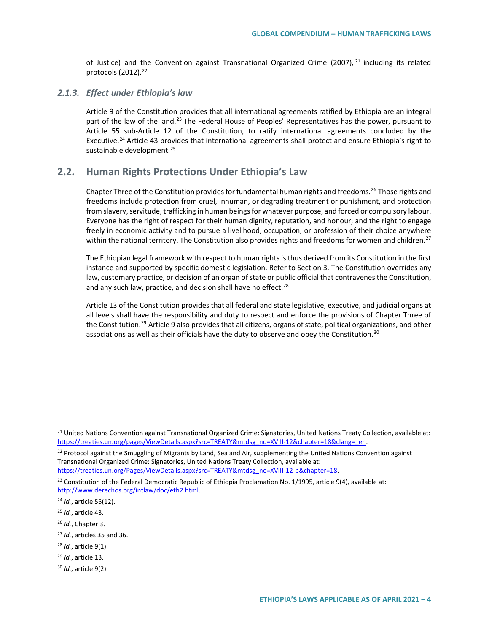of Justice) and the Convention against Transnational Organized Crime (2007),  $21$  including its related protocols (2012).<sup>[22](#page-3-1)</sup>

#### *2.1.3. Effect under Ethiopia's law*

Article 9 of the Constitution provides that all international agreements ratified by Ethiopia are an integral part of the law of the land.<sup>[23](#page-3-2)</sup> The Federal House of Peoples' Representatives has the power, pursuant to Article 55 sub-Article 12 of the Constitution, to ratify international agreements concluded by the Executive.<sup>[24](#page-3-3)</sup> Article 43 provides that international agreements shall protect and ensure Ethiopia's right to sustainable development.<sup>25</sup>

# **2.2. Human Rights Protections Under Ethiopia's Law**

Chapter Three of the Constitution provides for fundamental human rights and freedoms.<sup>[26](#page-3-5)</sup> Those rights and freedoms include protection from cruel, inhuman, or degrading treatment or punishment, and protection from slavery, servitude, trafficking in human beings for whatever purpose, and forced or compulsory labour. Everyone has the right of respect for their human dignity, reputation, and honour; and the right to engage freely in economic activity and to pursue a livelihood, occupation, or profession of their choice anywhere within the national territory. The Constitution also provides rights and freedoms for women and children.<sup>[27](#page-3-6)</sup>

The Ethiopian legal framework with respect to human rights is thus derived from its Constitution in the first instance and supported by specific domestic legislation. Refer to Section 3. The Constitution overrides any law, customary practice, or decision of an organ of state or public official that contravenes the Constitution, and any such law, practice, and decision shall have no effect.<sup>[28](#page-3-7)</sup>

Article 13 of the Constitution provides that all federal and state legislative, executive, and judicial organs at all levels shall have the responsibility and duty to respect and enforce the provisions of Chapter Three of the Constitution.<sup>[29](#page-3-8)</sup> Article 9 also provides that all citizens, organs of state, political organizations, and other associations as well as their officials have the duty to observe and obey the Constitution.<sup>[30](#page-3-9)</sup>

<span id="page-3-6"></span><sup>27</sup> *Id.*, articles 35 and 36.

<span id="page-3-0"></span><sup>&</sup>lt;sup>21</sup> United Nations Convention against Transnational Organized Crime: Signatories, United Nations Treaty Collection, available at: [https://treaties.un.org/pages/ViewDetails.aspx?src=TREATY&mtdsg\\_no=XVIII-12&chapter=18&clang=\\_en.](https://treaties.un.org/pages/ViewDetails.aspx?src=TREATY&mtdsg_no=XVIII-12&chapter=18&clang=_en)

<span id="page-3-1"></span><sup>&</sup>lt;sup>22</sup> Protocol against the Smuggling of Migrants by Land, Sea and Air, supplementing the United Nations Convention against Transnational Organized Crime: Signatories, United Nations Treaty Collection, available at: [https://treaties.un.org/Pages/ViewDetails.aspx?src=TREATY&mtdsg\\_no=XVIII-12-b&chapter=18.](https://treaties.un.org/Pages/ViewDetails.aspx?src=TREATY&mtdsg_no=XVIII-12-b&chapter=18)

<span id="page-3-2"></span><sup>&</sup>lt;sup>23</sup> Constitution of the Federal Democratic Republic of Ethiopia Proclamation No. 1/1995, article 9(4), available at: [http://www.derechos.org/intlaw/doc/eth2.html.](http://www.derechos.org/intlaw/doc/eth2.html)

<span id="page-3-3"></span><sup>24</sup> *Id.*, article 55(12).

<span id="page-3-4"></span><sup>25</sup> *Id.*, article 43.

<span id="page-3-5"></span><sup>26</sup> *Id.*, Chapter 3.

<span id="page-3-7"></span><sup>28</sup> *Id.*, article 9(1).

<span id="page-3-8"></span><sup>29</sup> *Id.*, article 13.

<span id="page-3-9"></span><sup>30</sup> *Id.*, article 9(2).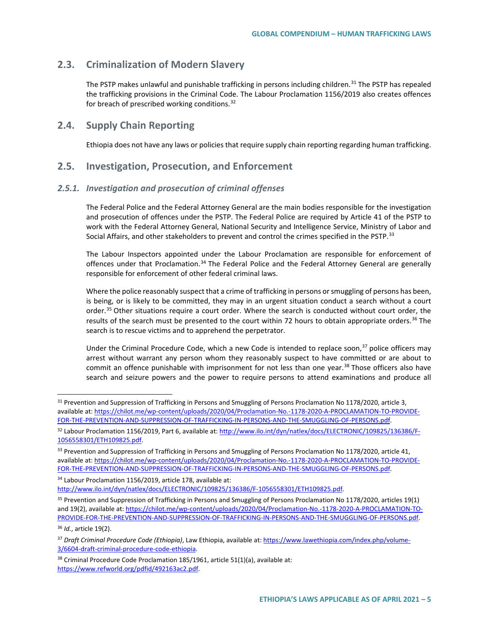# **2.3. Criminalization of Modern Slavery**

The PSTP makes unlawful and punishable trafficking in persons including children.<sup>[31](#page-4-0)</sup> The PSTP has repealed the trafficking provisions in the Criminal Code. The Labour Proclamation 1156/2019 also creates offences for breach of prescribed working conditions.<sup>[32](#page-4-1)</sup>

## **2.4. Supply Chain Reporting**

Ethiopia does not have any laws or policies that require supply chain reporting regarding human trafficking.

## **2.5. Investigation, Prosecution, and Enforcement**

#### *2.5.1. Investigation and prosecution of criminal offenses*

The Federal Police and the Federal Attorney General are the main bodies responsible for the investigation and prosecution of offences under the PSTP. The Federal Police are required by Article 41 of the PSTP to work with the Federal Attorney General, National Security and Intelligence Service, Ministry of Labor and Social Affairs, and other stakeholders to prevent and control the crimes specified in the PSTP.<sup>[33](#page-4-2)</sup>

The Labour Inspectors appointed under the Labour Proclamation are responsible for enforcement of offences under that Proclamation.<sup>[34](#page-4-3)</sup> The Federal Police and the Federal Attorney General are generally responsible for enforcement of other federal criminal laws.

Where the police reasonably suspect that a crime of trafficking in persons or smuggling of persons has been, is being, or is likely to be committed, they may in an urgent situation conduct a search without a court order.<sup>[35](#page-4-4)</sup> Other situations require a court order. Where the search is conducted without court order, the results of the search must be presented to the court within 72 hours to obtain appropriate orders.<sup>[36](#page-4-5)</sup> The search is to rescue victims and to apprehend the perpetrator.

Under the Criminal Procedure Code, which a new Code is intended to replace soon, $37$  police officers may arrest without warrant any person whom they reasonably suspect to have committed or are about to commit an offence punishable with imprisonment for not less than one year.<sup>[38](#page-4-7)</sup> Those officers also have search and seizure powers and the power to require persons to attend examinations and produce all

<span id="page-4-5"></span><sup>36</sup> *Id.*, article 19(2).

<span id="page-4-0"></span><sup>&</sup>lt;sup>31</sup> Prevention and Suppression of Trafficking in Persons and Smuggling of Persons Proclamation No 1178/2020, article 3, available at[: https://chilot.me/wp-content/uploads/2020/04/Proclamation-No.-1178-2020-A-PROCLAMATION-TO-PROVIDE-](https://chilot.me/wp-content/uploads/2020/04/Proclamation-No.-1178-2020-A-PROCLAMATION-TO-PROVIDE-FOR-THE-PREVENTION-AND-SUPPRESSION-OF-TRAFFICKING-IN-PERSONS-AND-THE-SMUGGLING-OF-PERSONS.pdf)[FOR-THE-PREVENTION-AND-SUPPRESSION-OF-TRAFFICKING-IN-PERSONS-AND-THE-SMUGGLING-OF-PERSONS.pdf.](https://chilot.me/wp-content/uploads/2020/04/Proclamation-No.-1178-2020-A-PROCLAMATION-TO-PROVIDE-FOR-THE-PREVENTION-AND-SUPPRESSION-OF-TRAFFICKING-IN-PERSONS-AND-THE-SMUGGLING-OF-PERSONS.pdf)

<span id="page-4-1"></span><sup>32</sup> Labour Proclamation 1156/2019, Part 6, available at: [http://www.ilo.int/dyn/natlex/docs/ELECTRONIC/109825/136386/F-](http://www.ilo.int/dyn/natlex/docs/ELECTRONIC/109825/136386/F-1056558301/ETH109825.pdf)[1056558301/ETH109825.pdf.](http://www.ilo.int/dyn/natlex/docs/ELECTRONIC/109825/136386/F-1056558301/ETH109825.pdf) 

<span id="page-4-2"></span><sup>&</sup>lt;sup>33</sup> Prevention and Suppression of Trafficking in Persons and Smuggling of Persons Proclamation No 1178/2020, article 41, available at[: https://chilot.me/wp-content/uploads/2020/04/Proclamation-No.-1178-2020-A-PROCLAMATION-TO-PROVIDE-](https://chilot.me/wp-content/uploads/2020/04/Proclamation-No.-1178-2020-A-PROCLAMATION-TO-PROVIDE-FOR-THE-PREVENTION-AND-SUPPRESSION-OF-TRAFFICKING-IN-PERSONS-AND-THE-SMUGGLING-OF-PERSONS.pdf)[FOR-THE-PREVENTION-AND-SUPPRESSION-OF-TRAFFICKING-IN-PERSONS-AND-THE-SMUGGLING-OF-PERSONS.pdf.](https://chilot.me/wp-content/uploads/2020/04/Proclamation-No.-1178-2020-A-PROCLAMATION-TO-PROVIDE-FOR-THE-PREVENTION-AND-SUPPRESSION-OF-TRAFFICKING-IN-PERSONS-AND-THE-SMUGGLING-OF-PERSONS.pdf)

<span id="page-4-3"></span><sup>34</sup> Labour Proclamation 1156/2019, article 178, available at: [http://www.ilo.int/dyn/natlex/docs/ELECTRONIC/109825/136386/F-1056558301/ETH109825.pdf.](http://www.ilo.int/dyn/natlex/docs/ELECTRONIC/109825/136386/F-1056558301/ETH109825.pdf)

<span id="page-4-4"></span><sup>&</sup>lt;sup>35</sup> Prevention and Suppression of Trafficking in Persons and Smuggling of Persons Proclamation No 1178/2020, articles 19(1) and 19(2), available at[: https://chilot.me/wp-content/uploads/2020/04/Proclamation-No.-1178-2020-A-PROCLAMATION-TO-](https://chilot.me/wp-content/uploads/2020/04/Proclamation-No.-1178-2020-A-PROCLAMATION-TO-PROVIDE-FOR-THE-PREVENTION-AND-SUPPRESSION-OF-TRAFFICKING-IN-PERSONS-AND-THE-SMUGGLING-OF-PERSONS.pdf)[PROVIDE-FOR-THE-PREVENTION-AND-SUPPRESSION-OF-TRAFFICKING-IN-PERSONS-AND-THE-SMUGGLING-OF-PERSONS.pdf.](https://chilot.me/wp-content/uploads/2020/04/Proclamation-No.-1178-2020-A-PROCLAMATION-TO-PROVIDE-FOR-THE-PREVENTION-AND-SUPPRESSION-OF-TRAFFICKING-IN-PERSONS-AND-THE-SMUGGLING-OF-PERSONS.pdf)

<span id="page-4-6"></span><sup>37</sup> *Draft Criminal Procedure Code (Ethiopia)*, Law Ethiopia, available at: [https://www.lawethiopia.com/index.php/volume-](https://www.lawethiopia.com/index.php/volume-3/6604-draft-criminal-procedure-code-ethiopia)[3/6604-draft-criminal-procedure-code-ethiopia.](https://www.lawethiopia.com/index.php/volume-3/6604-draft-criminal-procedure-code-ethiopia)

<span id="page-4-7"></span> $38$  Criminal Procedure Code Proclamation 185/1961, article 51(1)(a), available at: [https://www.refworld.org/pdfid/492163ac2.pdf.](https://www.refworld.org/pdfid/492163ac2.pdf)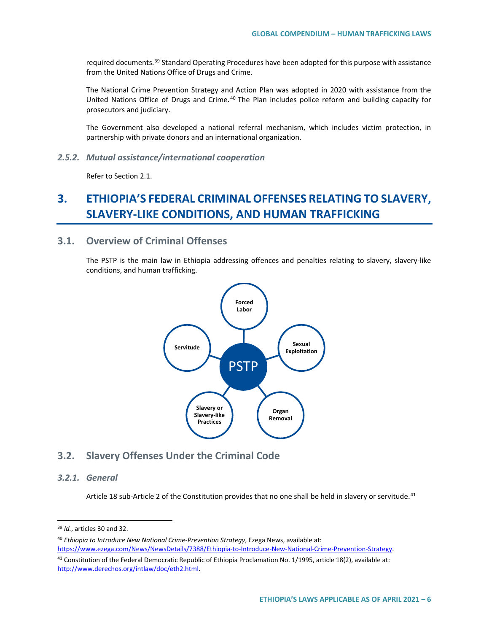required documents.<sup>[39](#page-5-0)</sup> Standard Operating Procedures have been adopted for this purpose with assistance from the United Nations Office of Drugs and Crime.

The National Crime Prevention Strategy and Action Plan was adopted in 2020 with assistance from the United Nations Office of Drugs and Crime. [40](#page-5-1) The Plan includes police reform and building capacity for prosecutors and judiciary.

The Government also developed a national referral mechanism, which includes victim protection, in partnership with private donors and an international organization.

*2.5.2. Mutual assistance/international cooperation*

Refer to Section 2.1.

# **3. ETHIOPIA'S FEDERAL CRIMINAL OFFENSES RELATING TO SLAVERY, SLAVERY-LIKE CONDITIONS, AND HUMAN TRAFFICKING**

### **3.1. Overview of Criminal Offenses**

The PSTP is the main law in Ethiopia addressing offences and penalties relating to slavery, slavery-like conditions, and human trafficking.



### **3.2. Slavery Offenses Under the Criminal Code**

#### *3.2.1. General*

Article 18 sub-Article 2 of the Constitution provides that no one shall be held in slavery or servitude.<sup>[41](#page-5-2)</sup>

<span id="page-5-0"></span> <sup>39</sup> *Id.*, articles 30 and 32.

<span id="page-5-1"></span><sup>40</sup> *Ethiopia to Introduce New National Crime-Prevention Strategy*, Ezega News, available at: [https://www.ezega.com/News/NewsDetails/7388/Ethiopia-to-Introduce-New-National-Crime-Prevention-Strategy.](https://www.ezega.com/News/NewsDetails/7388/Ethiopia-to-Introduce-New-National-Crime-Prevention-Strategy) 

<span id="page-5-2"></span><sup>&</sup>lt;sup>41</sup> Constitution of the Federal Democratic Republic of Ethiopia Proclamation No. 1/1995, article 18(2), available at: [http://www.derechos.org/intlaw/doc/eth2.html.](http://www.derechos.org/intlaw/doc/eth2.html)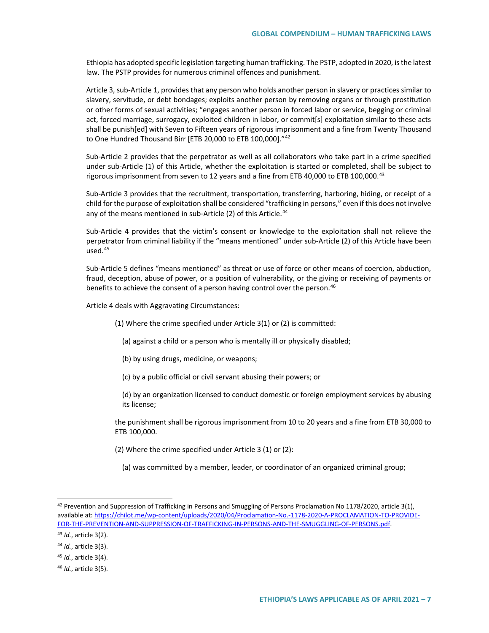Ethiopia has adopted specific legislation targeting human trafficking. The PSTP, adopted in 2020, is the latest law. The PSTP provides for numerous criminal offences and punishment.

Article 3, sub-Article 1, provides that any person who holds another person in slavery or practices similar to slavery, servitude, or debt bondages; exploits another person by removing organs or through prostitution or other forms of sexual activities; "engages another person in forced labor or service, begging or criminal act, forced marriage, surrogacy, exploited children in labor, or commit[s] exploitation similar to these acts shall be punish[ed] with Seven to Fifteen years of rigorous imprisonment and a fine from Twenty Thousand to One Hundred Thousand Birr [ETB 20,000 to ETB 100,000]."[42](#page-6-0)

Sub-Article 2 provides that the perpetrator as well as all collaborators who take part in a crime specified under sub-Article (1) of this Article, whether the exploitation is started or completed, shall be subject to rigorous imprisonment from seven to 12 years and a fine from ETB 40,000 to ETB 100,000.<sup>[43](#page-6-1)</sup>

Sub-Article 3 provides that the recruitment, transportation, transferring, harboring, hiding, or receipt of a child for the purpose of exploitation shall be considered "trafficking in persons," even if this does not involve any of the means mentioned in sub-Article (2) of this Article.<sup>[44](#page-6-2)</sup>

Sub-Article 4 provides that the victim's consent or knowledge to the exploitation shall not relieve the perpetrator from criminal liability if the "means mentioned" under sub-Article (2) of this Article have been used.[45](#page-6-3)

Sub-Article 5 defines "means mentioned" as threat or use of force or other means of coercion, abduction, fraud, deception, abuse of power, or a position of vulnerability, or the giving or receiving of payments or benefits to achieve the consent of a person having control over the person.<sup>[46](#page-6-4)</sup>

Article 4 deals with Aggravating Circumstances:

- (1) Where the crime specified under Article 3(1) or (2) is committed:
	- (a) against a child or a person who is mentally ill or physically disabled;
	- (b) by using drugs, medicine, or weapons;
	- (c) by a public official or civil servant abusing their powers; or
	- (d) by an organization licensed to conduct domestic or foreign employment services by abusing its license;

the punishment shall be rigorous imprisonment from 10 to 20 years and a fine from ETB 30,000 to ETB 100,000.

- (2) Where the crime specified under Article 3 (1) or (2):
	- (a) was committed by a member, leader, or coordinator of an organized criminal group;

<span id="page-6-0"></span> $42$  Prevention and Suppression of Trafficking in Persons and Smuggling of Persons Proclamation No 1178/2020, article 3(1), available at[: https://chilot.me/wp-content/uploads/2020/04/Proclamation-No.-1178-2020-A-PROCLAMATION-TO-PROVIDE-](https://chilot.me/wp-content/uploads/2020/04/Proclamation-No.-1178-2020-A-PROCLAMATION-TO-PROVIDE-FOR-THE-PREVENTION-AND-SUPPRESSION-OF-TRAFFICKING-IN-PERSONS-AND-THE-SMUGGLING-OF-PERSONS.pdf)[FOR-THE-PREVENTION-AND-SUPPRESSION-OF-TRAFFICKING-IN-PERSONS-AND-THE-SMUGGLING-OF-PERSONS.pdf.](https://chilot.me/wp-content/uploads/2020/04/Proclamation-No.-1178-2020-A-PROCLAMATION-TO-PROVIDE-FOR-THE-PREVENTION-AND-SUPPRESSION-OF-TRAFFICKING-IN-PERSONS-AND-THE-SMUGGLING-OF-PERSONS.pdf)

<span id="page-6-1"></span><sup>43</sup> *Id.*, article 3(2).

<span id="page-6-2"></span><sup>44</sup> *Id.*, article 3(3).

<span id="page-6-3"></span><sup>45</sup> *Id.*, article 3(4).

<span id="page-6-4"></span><sup>46</sup> *Id.*, article 3(5).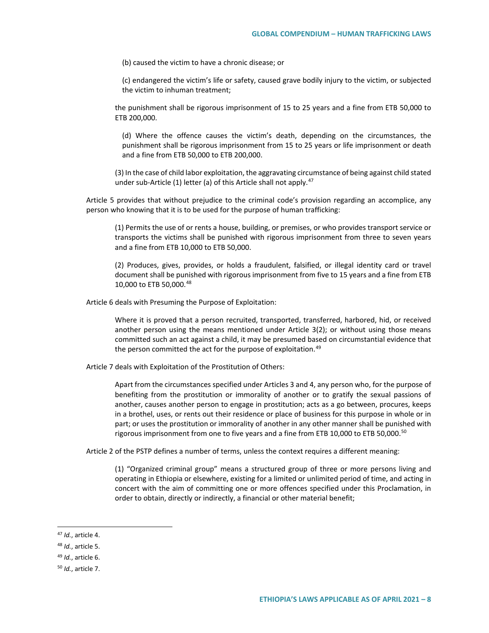(b) caused the victim to have a chronic disease; or

(c) endangered the victim's life or safety, caused grave bodily injury to the victim, or subjected the victim to inhuman treatment;

the punishment shall be rigorous imprisonment of 15 to 25 years and a fine from ETB 50,000 to ETB 200,000.

(d) Where the offence causes the victim's death, depending on the circumstances, the punishment shall be rigorous imprisonment from 15 to 25 years or life imprisonment or death and a fine from ETB 50,000 to ETB 200,000.

(3) In the case of child labor exploitation, the aggravating circumstance of being against child stated under sub-Article (1) letter (a) of this Article shall not apply. $47$ 

Article 5 provides that without prejudice to the criminal code's provision regarding an accomplice, any person who knowing that it is to be used for the purpose of human trafficking:

(1) Permits the use of or rents a house, building, or premises, or who provides transport service or transports the victims shall be punished with rigorous imprisonment from three to seven years and a fine from ETB 10,000 to ETB 50,000.

(2) Produces, gives, provides, or holds a fraudulent, falsified, or illegal identity card or travel document shall be punished with rigorous imprisonment from five to 15 years and a fine from ETB 10,000 to ETB 50,000.[48](#page-7-1)

Article 6 deals with Presuming the Purpose of Exploitation:

Where it is proved that a person recruited, transported, transferred, harbored, hid, or received another person using the means mentioned under Article 3(2); or without using those means committed such an act against a child, it may be presumed based on circumstantial evidence that the person committed the act for the purpose of exploitation.<sup>[49](#page-7-2)</sup>

Article 7 deals with Exploitation of the Prostitution of Others:

Apart from the circumstances specified under Articles 3 and 4, any person who, for the purpose of benefiting from the prostitution or immorality of another or to gratify the sexual passions of another, causes another person to engage in prostitution; acts as a go between, procures, keeps in a brothel, uses, or rents out their residence or place of business for this purpose in whole or in part; or uses the prostitution or immorality of another in any other manner shall be punished with rigorous imprisonment from one to five years and a fine from ETB 10,000 to ETB [50](#page-7-3),000.<sup>50</sup>

Article 2 of the PSTP defines a number of terms, unless the context requires a different meaning:

(1) "Organized criminal group" means a structured group of three or more persons living and operating in Ethiopia or elsewhere, existing for a limited or unlimited period of time, and acting in concert with the aim of committing one or more offences specified under this Proclamation, in order to obtain, directly or indirectly, a financial or other material benefit;

<span id="page-7-0"></span> <sup>47</sup> *Id.*, article 4.

<span id="page-7-1"></span><sup>48</sup> *Id.*, article 5.

<span id="page-7-2"></span><sup>49</sup> *Id.*, article 6.

<span id="page-7-3"></span><sup>50</sup> *Id.*, article 7.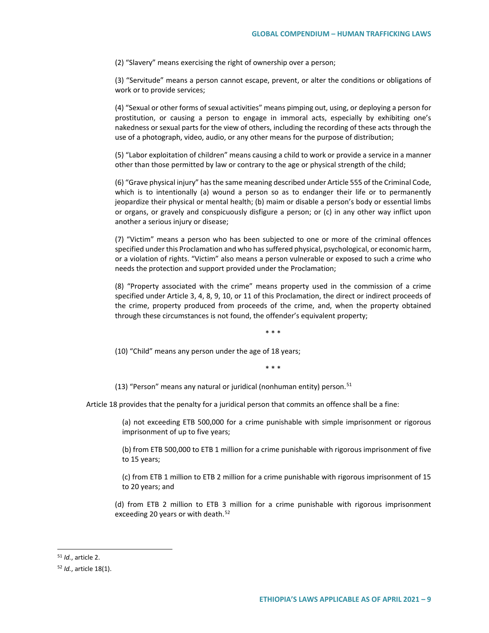(2) "Slavery" means exercising the right of ownership over a person;

(3) "Servitude" means a person cannot escape, prevent, or alter the conditions or obligations of work or to provide services;

(4) "Sexual or other forms of sexual activities" means pimping out, using, or deploying a person for prostitution, or causing a person to engage in immoral acts, especially by exhibiting one's nakedness or sexual parts for the view of others, including the recording of these acts through the use of a photograph, video, audio, or any other means for the purpose of distribution;

(5) "Labor exploitation of children" means causing a child to work or provide a service in a manner other than those permitted by law or contrary to the age or physical strength of the child;

(6) "Grave physical injury" has the same meaning described under Article 555 of the Criminal Code, which is to intentionally (a) wound a person so as to endanger their life or to permanently jeopardize their physical or mental health; (b) maim or disable a person's body or essential limbs or organs, or gravely and conspicuously disfigure a person; or (c) in any other way inflict upon another a serious injury or disease;

(7) "Victim" means a person who has been subjected to one or more of the criminal offences specified under this Proclamation and who has suffered physical, psychological, or economic harm, or a violation of rights. "Victim" also means a person vulnerable or exposed to such a crime who needs the protection and support provided under the Proclamation;

(8) "Property associated with the crime" means property used in the commission of a crime specified under Article 3, 4, 8, 9, 10, or 11 of this Proclamation, the direct or indirect proceeds of the crime, property produced from proceeds of the crime, and, when the property obtained through these circumstances is not found, the offender's equivalent property;

\* \* \*

(10) "Child" means any person under the age of 18 years;

\* \* \*

(13) "Person" means any natural or juridical (nonhuman entity) person.<sup>[51](#page-8-0)</sup>

Article 18 provides that the penalty for a juridical person that commits an offence shall be a fine:

(a) not exceeding ETB 500,000 for a crime punishable with simple imprisonment or rigorous imprisonment of up to five years;

(b) from ETB 500,000 to ETB 1 million for a crime punishable with rigorous imprisonment of five to 15 years;

(c) from ETB 1 million to ETB 2 million for a crime punishable with rigorous imprisonment of 15 to 20 years; and

(d) from ETB 2 million to ETB 3 million for a crime punishable with rigorous imprisonment exceeding 20 years or with death.<sup>[52](#page-8-1)</sup>

<span id="page-8-0"></span> <sup>51</sup> *Id.*, article 2.

<span id="page-8-1"></span><sup>52</sup> *Id.*, article 18(1).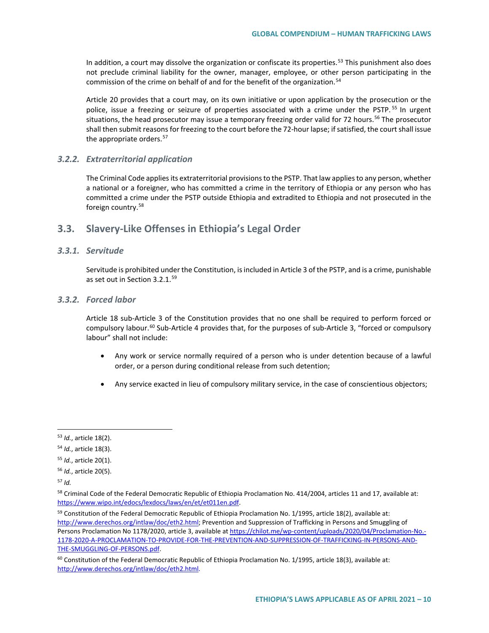In addition, a court may dissolve the organization or confiscate its properties.<sup>[53](#page-9-0)</sup> This punishment also does not preclude criminal liability for the owner, manager, employee, or other person participating in the commission of the crime on behalf of and for the benefit of the organization.<sup>[54](#page-9-1)</sup>

Article 20 provides that a court may, on its own initiative or upon application by the prosecution or the police, issue a freezing or seizure of properties associated with a crime under the PSTP.<sup>[55](#page-9-2)</sup> In urgent situations, the head prosecutor may issue a temporary freezing order valid for 72 hours.<sup>[56](#page-9-3)</sup> The prosecutor shall then submit reasons for freezing to the court before the 72-hour lapse; if satisfied, the court shall issue the appropriate orders.<sup>[57](#page-9-4)</sup>

#### *3.2.2. Extraterritorial application*

The Criminal Code applies its extraterritorial provisions to the PSTP. That law applies to any person, whether a national or a foreigner, who has committed a crime in the territory of Ethiopia or any person who has committed a crime under the PSTP outside Ethiopia and extradited to Ethiopia and not prosecuted in the foreign country.<sup>[58](#page-9-5)</sup>

## **3.3. Slavery-Like Offenses in Ethiopia's Legal Order**

#### *3.3.1. Servitude*

Servitude is prohibited under the Constitution, is included in Article 3 of the PSTP, and is a crime, punishable as set out in Section 3.2.1. $59$ 

### *3.3.2. Forced labor*

Article 18 sub-Article 3 of the Constitution provides that no one shall be required to perform forced or compulsory labour.<sup>[60](#page-9-7)</sup> Sub-Article 4 provides that, for the purposes of sub-Article 3, "forced or compulsory labour" shall not include:

- Any work or service normally required of a person who is under detention because of a lawful order, or a person during conditional release from such detention;
- Any service exacted in lieu of compulsory military service, in the case of conscientious objectors;

<span id="page-9-0"></span> <sup>53</sup> *Id.*, article 18(2).

<span id="page-9-1"></span><sup>54</sup> *Id.*, article 18(3).

<span id="page-9-2"></span><sup>55</sup> *Id.*, article 20(1).

<span id="page-9-3"></span><sup>56</sup> *Id.*, article 20(5).

<span id="page-9-4"></span><sup>57</sup> *Id.*

<span id="page-9-5"></span><sup>&</sup>lt;sup>58</sup> Criminal Code of the Federal Democratic Republic of Ethiopia Proclamation No. 414/2004, articles 11 and 17, available at: [https://www.wipo.int/edocs/lexdocs/laws/en/et/et011en.pdf.](https://www.wipo.int/edocs/lexdocs/laws/en/et/et011en.pdf) 

<span id="page-9-6"></span><sup>&</sup>lt;sup>59</sup> Constitution of the Federal Democratic Republic of Ethiopia Proclamation No. 1/1995, article 18(2), available at: [http://www.derechos.org/intlaw/doc/eth2.html;](http://www.derechos.org/intlaw/doc/eth2.html) Prevention and Suppression of Trafficking in Persons and Smuggling of Persons Proclamation No 1178/2020, article 3, available a[t https://chilot.me/wp-content/uploads/2020/04/Proclamation-No.-](https://chilot.me/wp-content/uploads/2020/04/Proclamation-No.-1178-2020-A-PROCLAMATION-TO-PROVIDE-FOR-THE-PREVENTION-AND-SUPPRESSION-OF-TRAFFICKING-IN-PERSONS-AND-THE-SMUGGLING-OF-PERSONS.pdf) [1178-2020-A-PROCLAMATION-TO-PROVIDE-FOR-THE-PREVENTION-AND-SUPPRESSION-OF-TRAFFICKING-IN-PERSONS-AND-](https://chilot.me/wp-content/uploads/2020/04/Proclamation-No.-1178-2020-A-PROCLAMATION-TO-PROVIDE-FOR-THE-PREVENTION-AND-SUPPRESSION-OF-TRAFFICKING-IN-PERSONS-AND-THE-SMUGGLING-OF-PERSONS.pdf)[THE-SMUGGLING-OF-PERSONS.pdf.](https://chilot.me/wp-content/uploads/2020/04/Proclamation-No.-1178-2020-A-PROCLAMATION-TO-PROVIDE-FOR-THE-PREVENTION-AND-SUPPRESSION-OF-TRAFFICKING-IN-PERSONS-AND-THE-SMUGGLING-OF-PERSONS.pdf)

<span id="page-9-7"></span> $60$  Constitution of the Federal Democratic Republic of Ethiopia Proclamation No. 1/1995, article 18(3), available at: [http://www.derechos.org/intlaw/doc/eth2.html.](http://www.derechos.org/intlaw/doc/eth2.html)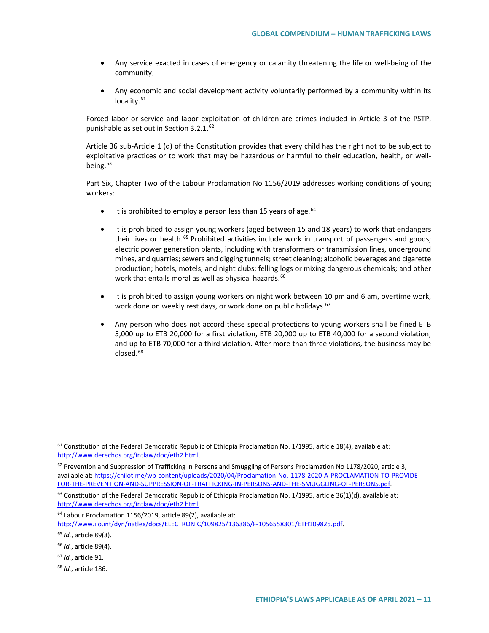- Any service exacted in cases of emergency or calamity threatening the life or well-being of the community;
- Any economic and social development activity voluntarily performed by a community within its locality.<sup>[61](#page-10-0)</sup>

Forced labor or service and labor exploitation of children are crimes included in Article 3 of the PSTP, punishable as set out in Section 3.2.1.<sup>[62](#page-10-1)</sup>

Article 36 sub-Article 1 (d) of the Constitution provides that every child has the right not to be subject to exploitative practices or to work that may be hazardous or harmful to their education, health, or well-being.<sup>[63](#page-10-2)</sup>

Part Six, Chapter Two of the Labour Proclamation No 1156/2019 addresses working conditions of young workers:

- It is prohibited to employ a person less than 15 years of age. <sup>[64](#page-10-3)</sup>
- It is prohibited to assign young workers (aged between 15 and 18 years) to work that endangers their lives or health.<sup>[65](#page-10-4)</sup> Prohibited activities include work in transport of passengers and goods; electric power generation plants, including with transformers or transmission lines, underground mines, and quarries; sewers and digging tunnels; street cleaning; alcoholic beverages and cigarette production; hotels, motels, and night clubs; felling logs or mixing dangerous chemicals; and other work that entails moral as well as physical hazards.<sup>[66](#page-10-5)</sup>
- It is prohibited to assign young workers on night work between 10 pm and 6 am, overtime work, work done on weekly rest days, or work done on public holidays.<sup>67</sup>
- Any person who does not accord these special protections to young workers shall be fined ETB 5,000 up to ETB 20,000 for a first violation, ETB 20,000 up to ETB 40,000 for a second violation, and up to ETB 70,000 for a third violation. After more than three violations, the business may be closed.<sup>[68](#page-10-7)</sup>

<span id="page-10-7"></span><sup>68</sup> *Id.*, article 186.

<span id="page-10-0"></span><sup>&</sup>lt;sup>61</sup> Constitution of the Federal Democratic Republic of Ethiopia Proclamation No. 1/1995, article 18(4), available at: [http://www.derechos.org/intlaw/doc/eth2.html.](http://www.derechos.org/intlaw/doc/eth2.html)

<span id="page-10-1"></span> $62$  Prevention and Suppression of Trafficking in Persons and Smuggling of Persons Proclamation No 1178/2020, article 3, available at[: https://chilot.me/wp-content/uploads/2020/04/Proclamation-No.-1178-2020-A-PROCLAMATION-TO-PROVIDE-](https://chilot.me/wp-content/uploads/2020/04/Proclamation-No.-1178-2020-A-PROCLAMATION-TO-PROVIDE-FOR-THE-PREVENTION-AND-SUPPRESSION-OF-TRAFFICKING-IN-PERSONS-AND-THE-SMUGGLING-OF-PERSONS.pdf)[FOR-THE-PREVENTION-AND-SUPPRESSION-OF-TRAFFICKING-IN-PERSONS-AND-THE-SMUGGLING-OF-PERSONS.pdf.](https://chilot.me/wp-content/uploads/2020/04/Proclamation-No.-1178-2020-A-PROCLAMATION-TO-PROVIDE-FOR-THE-PREVENTION-AND-SUPPRESSION-OF-TRAFFICKING-IN-PERSONS-AND-THE-SMUGGLING-OF-PERSONS.pdf)

<span id="page-10-2"></span> $63$  Constitution of the Federal Democratic Republic of Ethiopia Proclamation No. 1/1995, article 36(1)(d), available at: [http://www.derechos.org/intlaw/doc/eth2.html.](http://www.derechos.org/intlaw/doc/eth2.html)

<span id="page-10-3"></span><sup>&</sup>lt;sup>64</sup> Labour Proclamation 1156/2019, article 89(2), available at: [http://www.ilo.int/dyn/natlex/docs/ELECTRONIC/109825/136386/F-1056558301/ETH109825.pdf.](http://www.ilo.int/dyn/natlex/docs/ELECTRONIC/109825/136386/F-1056558301/ETH109825.pdf)

<span id="page-10-4"></span><sup>65</sup> *Id.*, article 89(3).

<span id="page-10-5"></span><sup>66</sup> *Id.*, article 89(4).

<span id="page-10-6"></span><sup>67</sup> *Id.*, article 91.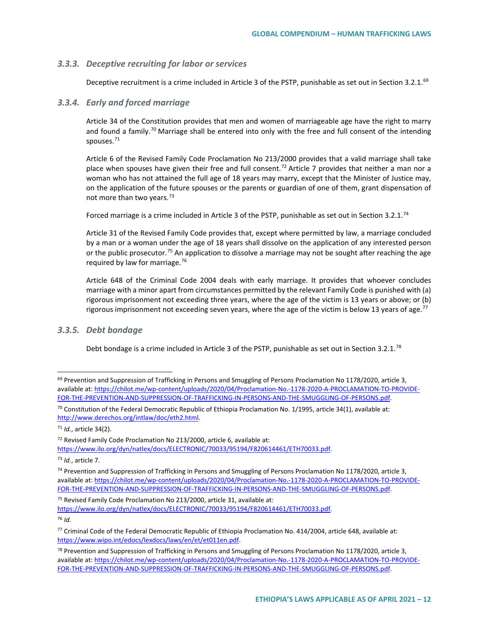#### *3.3.3. Deceptive recruiting for labor or services*

Deceptive recruitment is a crime included in Article 3 of the PSTP, punishable as set out in Section 3.2.1.<sup>[69](#page-11-0)</sup>

#### *3.3.4. Early and forced marriage*

Article 34 of the Constitution provides that men and women of marriageable age have the right to marry and found a family.<sup>[70](#page-11-1)</sup> Marriage shall be entered into only with the free and full consent of the intending spouses.[71](#page-11-2)

Article 6 of the Revised Family Code Proclamation No 213/2000 provides that a valid marriage shall take place when spouses have given their free and full consent.<sup>[72](#page-11-3)</sup> Article 7 provides that neither a man nor a woman who has not attained the full age of 18 years may marry, except that the Minister of Justice may, on the application of the future spouses or the parents or guardian of one of them, grant dispensation of not more than two years.<sup>[73](#page-11-4)</sup>

Forced marriage is a crime included in Article 3 of the PSTP, punishable as set out in Section 3.2.1.[74](#page-11-5)

Article 31 of the Revised Family Code provides that, except where permitted by law, a marriage concluded by a man or a woman under the age of 18 years shall dissolve on the application of any interested person or the public prosecutor.<sup>[75](#page-11-6)</sup> An application to dissolve a marriage may not be sought after reaching the age required by law for marriage.[76](#page-11-7)

Article 648 of the Criminal Code 2004 deals with early marriage. It provides that whoever concludes marriage with a minor apart from circumstances permitted by the relevant Family Code is punished with (a) rigorous imprisonment not exceeding three years, where the age of the victim is 13 years or above; or (b) rigorous imprisonment not exceeding seven years, where the age of the victim is below 13 years of age.<sup>[77](#page-11-8)</sup>

#### *3.3.5. Debt bondage*

Debt bondage is a crime included in Article 3 of the PSTP, punishable as set out in Section 3.2.1.<sup>[78](#page-11-9)</sup>

<span id="page-11-7"></span><sup>76</sup> *Id.*

<span id="page-11-0"></span> $69$  Prevention and Suppression of Trafficking in Persons and Smuggling of Persons Proclamation No 1178/2020, article 3, available at[: https://chilot.me/wp-content/uploads/2020/04/Proclamation-No.-1178-2020-A-PROCLAMATION-TO-PROVIDE-](https://chilot.me/wp-content/uploads/2020/04/Proclamation-No.-1178-2020-A-PROCLAMATION-TO-PROVIDE-FOR-THE-PREVENTION-AND-SUPPRESSION-OF-TRAFFICKING-IN-PERSONS-AND-THE-SMUGGLING-OF-PERSONS.pdf)[FOR-THE-PREVENTION-AND-SUPPRESSION-OF-TRAFFICKING-IN-PERSONS-AND-THE-SMUGGLING-OF-PERSONS.pdf.](https://chilot.me/wp-content/uploads/2020/04/Proclamation-No.-1178-2020-A-PROCLAMATION-TO-PROVIDE-FOR-THE-PREVENTION-AND-SUPPRESSION-OF-TRAFFICKING-IN-PERSONS-AND-THE-SMUGGLING-OF-PERSONS.pdf)

<span id="page-11-1"></span><sup>&</sup>lt;sup>70</sup> Constitution of the Federal Democratic Republic of Ethiopia Proclamation No. 1/1995, article 34(1), available at: [http://www.derechos.org/intlaw/doc/eth2.html.](http://www.derechos.org/intlaw/doc/eth2.html)

<span id="page-11-2"></span><sup>71</sup> *Id.*, article 34(2).

<span id="page-11-3"></span><sup>72</sup> Revised Family Code Proclamation No 213/2000, article 6, available at:

[https://www.ilo.org/dyn/natlex/docs/ELECTRONIC/70033/95194/F820614461/ETH70033.pdf.](https://www.ilo.org/dyn/natlex/docs/ELECTRONIC/70033/95194/F820614461/ETH70033.pdf)

<span id="page-11-4"></span><sup>73</sup> *Id.*, article 7.

<span id="page-11-5"></span><sup>&</sup>lt;sup>74</sup> Prevention and Suppression of Trafficking in Persons and Smuggling of Persons Proclamation No 1178/2020, article 3, available at[: https://chilot.me/wp-content/uploads/2020/04/Proclamation-No.-1178-2020-A-PROCLAMATION-TO-PROVIDE-](https://chilot.me/wp-content/uploads/2020/04/Proclamation-No.-1178-2020-A-PROCLAMATION-TO-PROVIDE-FOR-THE-PREVENTION-AND-SUPPRESSION-OF-TRAFFICKING-IN-PERSONS-AND-THE-SMUGGLING-OF-PERSONS.pdf)[FOR-THE-PREVENTION-AND-SUPPRESSION-OF-TRAFFICKING-IN-PERSONS-AND-THE-SMUGGLING-OF-PERSONS.pdf.](https://chilot.me/wp-content/uploads/2020/04/Proclamation-No.-1178-2020-A-PROCLAMATION-TO-PROVIDE-FOR-THE-PREVENTION-AND-SUPPRESSION-OF-TRAFFICKING-IN-PERSONS-AND-THE-SMUGGLING-OF-PERSONS.pdf)

<span id="page-11-6"></span><sup>75</sup> Revised Family Code Proclamation No 213/2000, article 31, available at: [https://www.ilo.org/dyn/natlex/docs/ELECTRONIC/70033/95194/F820614461/ETH70033.pdf.](https://www.ilo.org/dyn/natlex/docs/ELECTRONIC/70033/95194/F820614461/ETH70033.pdf)

<span id="page-11-8"></span><sup>77</sup> Criminal Code of the Federal Democratic Republic of Ethiopia Proclamation No. 414/2004, article 648, available at: [https://www.wipo.int/edocs/lexdocs/laws/en/et/et011en.pdf.](https://www.wipo.int/edocs/lexdocs/laws/en/et/et011en.pdf)

<span id="page-11-9"></span><sup>&</sup>lt;sup>78</sup> Prevention and Suppression of Trafficking in Persons and Smuggling of Persons Proclamation No 1178/2020, article 3, available at[: https://chilot.me/wp-content/uploads/2020/04/Proclamation-No.-1178-2020-A-PROCLAMATION-TO-PROVIDE-](https://chilot.me/wp-content/uploads/2020/04/Proclamation-No.-1178-2020-A-PROCLAMATION-TO-PROVIDE-FOR-THE-PREVENTION-AND-SUPPRESSION-OF-TRAFFICKING-IN-PERSONS-AND-THE-SMUGGLING-OF-PERSONS.pdf)[FOR-THE-PREVENTION-AND-SUPPRESSION-OF-TRAFFICKING-IN-PERSONS-AND-THE-SMUGGLING-OF-PERSONS.pdf.](https://chilot.me/wp-content/uploads/2020/04/Proclamation-No.-1178-2020-A-PROCLAMATION-TO-PROVIDE-FOR-THE-PREVENTION-AND-SUPPRESSION-OF-TRAFFICKING-IN-PERSONS-AND-THE-SMUGGLING-OF-PERSONS.pdf)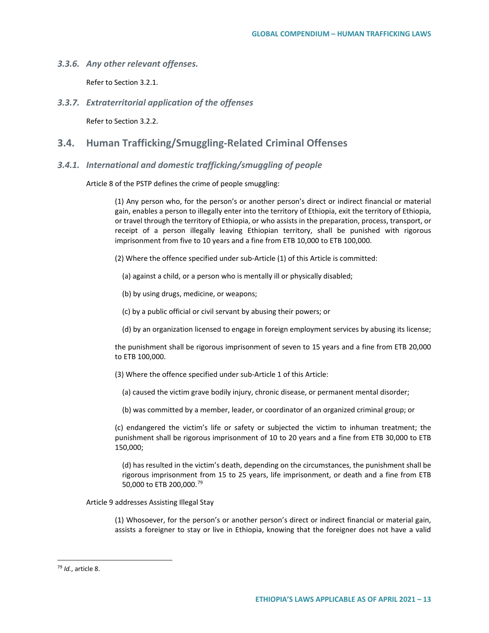*3.3.6. Any other relevant offenses.*

Refer to Section 3.2.1.

*3.3.7. Extraterritorial application of the offenses*

Refer to Section 3.2.2.

### **3.4. Human Trafficking/Smuggling-Related Criminal Offenses**

#### *3.4.1. International and domestic trafficking/smuggling of people*

Article 8 of the PSTP defines the crime of people smuggling:

(1) Any person who, for the person's or another person's direct or indirect financial or material gain, enables a person to illegally enter into the territory of Ethiopia, exit the territory of Ethiopia, or travel through the territory of Ethiopia, or who assists in the preparation, process, transport, or receipt of a person illegally leaving Ethiopian territory, shall be punished with rigorous imprisonment from five to 10 years and a fine from ETB 10,000 to ETB 100,000.

- (2) Where the offence specified under sub-Article (1) of this Article is committed:
	- (a) against a child, or a person who is mentally ill or physically disabled;
	- (b) by using drugs, medicine, or weapons;
	- (c) by a public official or civil servant by abusing their powers; or
	- (d) by an organization licensed to engage in foreign employment services by abusing its license;

the punishment shall be rigorous imprisonment of seven to 15 years and a fine from ETB 20,000 to ETB 100,000.

- (3) Where the offence specified under sub-Article 1 of this Article:
	- (a) caused the victim grave bodily injury, chronic disease, or permanent mental disorder;
	- (b) was committed by a member, leader, or coordinator of an organized criminal group; or

(c) endangered the victim's life or safety or subjected the victim to inhuman treatment; the punishment shall be rigorous imprisonment of 10 to 20 years and a fine from ETB 30,000 to ETB 150,000;

(d) has resulted in the victim's death, depending on the circumstances, the punishment shall be rigorous imprisonment from 15 to 25 years, life imprisonment, or death and a fine from ETB 50,000 to ETB 200,000.<sup>[79](#page-12-0)</sup>

Article 9 addresses Assisting Illegal Stay

(1) Whosoever, for the person's or another person's direct or indirect financial or material gain, assists a foreigner to stay or live in Ethiopia, knowing that the foreigner does not have a valid

<span id="page-12-0"></span> <sup>79</sup> *Id.*, article 8.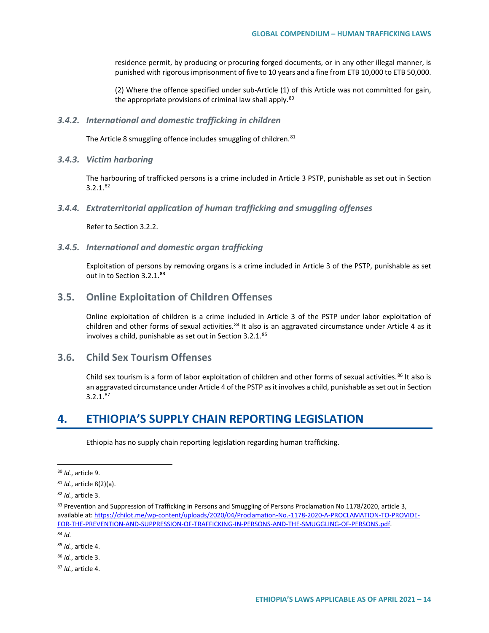residence permit, by producing or procuring forged documents, or in any other illegal manner, is punished with rigorous imprisonment of five to 10 years and a fine from ETB 10,000 to ETB 50,000.

(2) Where the offence specified under sub-Article (1) of this Article was not committed for gain, the appropriate provisions of criminal law shall apply.<sup>[80](#page-13-0)</sup>

#### *3.4.2. International and domestic trafficking in children*

The Article 8 smuggling offence includes smuggling of children.<sup>[81](#page-13-1)</sup>

#### *3.4.3. Victim harboring*

The harbouring of trafficked persons is a crime included in Article 3 PSTP, punishable as set out in Section 3.2.1.[82](#page-13-2)

#### *3.4.4. Extraterritorial application of human trafficking and smuggling offenses*

Refer to Section 3.2.2.

#### *3.4.5. International and domestic organ trafficking*

Exploitation of persons by removing organs is a crime included in Article 3 of the PSTP, punishable as set out in to Section 3.2.1.**[83](#page-13-3)**

## **3.5. Online Exploitation of Children Offenses**

Online exploitation of children is a crime included in Article 3 of the PSTP under labor exploitation of children and other forms of sexual activities.<sup>[84](#page-13-4)</sup> It also is an aggravated circumstance under Article 4 as it involves a child, punishable as set out in Section 3.2.1.<sup>[85](#page-13-5)</sup>

## **3.6. Child Sex Tourism Offenses**

Child sex tourism is a form of labor exploitation of children and other forms of sexual activities.<sup>[86](#page-13-6)</sup> It also is an aggravated circumstance under Article 4 of the PSTP as it involves a child, punishable as set out in Section  $3.2.1<sup>87</sup>$  $3.2.1<sup>87</sup>$  $3.2.1<sup>87</sup>$ 

# **4. ETHIOPIA'S SUPPLY CHAIN REPORTING LEGISLATION**

Ethiopia has no supply chain reporting legislation regarding human trafficking.

<span id="page-13-4"></span><sup>84</sup> *Id.*

<span id="page-13-5"></span><sup>85</sup> *Id.*, article 4.

<span id="page-13-6"></span><sup>86</sup> *Id.*, article 3.

<span id="page-13-7"></span><sup>87</sup> *Id.*, article 4.

<span id="page-13-0"></span> <sup>80</sup> *Id.*, article 9.

<span id="page-13-1"></span><sup>81</sup> *Id.*, article 8(2)(a).

<span id="page-13-2"></span><sup>82</sup> *Id.*, article 3.

<span id="page-13-3"></span><sup>&</sup>lt;sup>83</sup> Prevention and Suppression of Trafficking in Persons and Smuggling of Persons Proclamation No 1178/2020, article 3, available at[: https://chilot.me/wp-content/uploads/2020/04/Proclamation-No.-1178-2020-A-PROCLAMATION-TO-PROVIDE-](https://chilot.me/wp-content/uploads/2020/04/Proclamation-No.-1178-2020-A-PROCLAMATION-TO-PROVIDE-FOR-THE-PREVENTION-AND-SUPPRESSION-OF-TRAFFICKING-IN-PERSONS-AND-THE-SMUGGLING-OF-PERSONS.pdf)[FOR-THE-PREVENTION-AND-SUPPRESSION-OF-TRAFFICKING-IN-PERSONS-AND-THE-SMUGGLING-OF-PERSONS.pdf.](https://chilot.me/wp-content/uploads/2020/04/Proclamation-No.-1178-2020-A-PROCLAMATION-TO-PROVIDE-FOR-THE-PREVENTION-AND-SUPPRESSION-OF-TRAFFICKING-IN-PERSONS-AND-THE-SMUGGLING-OF-PERSONS.pdf)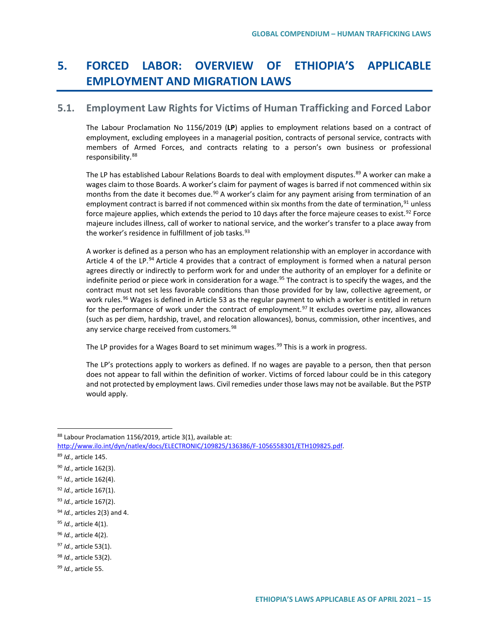# **5. FORCED LABOR: OVERVIEW OF ETHIOPIA'S APPLICABLE EMPLOYMENT AND MIGRATION LAWS**

# **5.1. Employment Law Rights for Victims of Human Trafficking and Forced Labor**

The Labour Proclamation No 1156/2019 (**LP**) applies to employment relations based on a contract of employment, excluding employees in a managerial position, contracts of personal service, contracts with members of Armed Forces, and contracts relating to a person's own business or professional responsibility.[88](#page-14-0)

The LP has established Labour Relations Boards to deal with employment disputes.<sup>[89](#page-14-1)</sup> A worker can make a wages claim to those Boards. A worker's claim for payment of wages is barred if not commenced within six months from the date it becomes due.<sup>[90](#page-14-2)</sup> A worker's claim for any payment arising from termination of an employment contract is barred if not commenced within six months from the date of termination, <sup>[91](#page-14-3)</sup> unless force majeure applies, which extends the period to 10 days after the force majeure ceases to exist.<sup>[92](#page-14-4)</sup> Force majeure includes illness, call of worker to national service, and the worker's transfer to a place away from the worker's residence in fulfillment of job tasks.<sup>[93](#page-14-5)</sup>

A worker is defined as a person who has an employment relationship with an employer in accordance with Article 4 of the LP.<sup>[94](#page-14-6)</sup> Article 4 provides that a contract of employment is formed when a natural person agrees directly or indirectly to perform work for and under the authority of an employer for a definite or indefinite period or piece work in consideration for a wage.<sup>[95](#page-14-7)</sup> The contract is to specify the wages, and the contract must not set less favorable conditions than those provided for by law, collective agreement, or work rules.<sup>[96](#page-14-8)</sup> Wages is defined in Article 53 as the regular payment to which a worker is entitled in return for the performance of work under the contract of employment.<sup>97</sup> It excludes overtime pay, allowances (such as per diem, hardship, travel, and relocation allowances), bonus, commission, other incentives, and any service charge received from customers.<sup>[98](#page-14-10)</sup>

The LP provides for a Wages Board to set minimum wages.<sup>[99](#page-14-11)</sup> This is a work in progress.

The LP's protections apply to workers as defined. If no wages are payable to a person, then that person does not appear to fall within the definition of worker. Victims of forced labour could be in this category and not protected by employment laws. Civil remedies under those laws may not be available. But the PSTP would apply.

<span id="page-14-0"></span><sup>88</sup> Labour Proclamation 1156/2019, article 3(1), available at:

[http://www.ilo.int/dyn/natlex/docs/ELECTRONIC/109825/136386/F-1056558301/ETH109825.pdf.](http://www.ilo.int/dyn/natlex/docs/ELECTRONIC/109825/136386/F-1056558301/ETH109825.pdf)

<span id="page-14-1"></span><sup>89</sup> *Id.*, article 145.

<span id="page-14-2"></span><sup>90</sup> *Id.*, article 162(3).

<span id="page-14-3"></span><sup>91</sup> *Id.*, article 162(4).

<span id="page-14-4"></span><sup>92</sup> *Id.*, article 167(1).

<span id="page-14-5"></span><sup>93</sup> *Id.*, article 167(2).

<span id="page-14-6"></span><sup>94</sup> *Id.*, articles 2(3) and 4.

<span id="page-14-7"></span><sup>95</sup> *Id.*, article 4(1).

<span id="page-14-8"></span><sup>96</sup> *Id.*, article 4(2).

<span id="page-14-9"></span><sup>97</sup> *Id.*, article 53(1).

<span id="page-14-10"></span><sup>98</sup> *Id.*, article 53(2).

<span id="page-14-11"></span><sup>99</sup> *Id.*, article 55.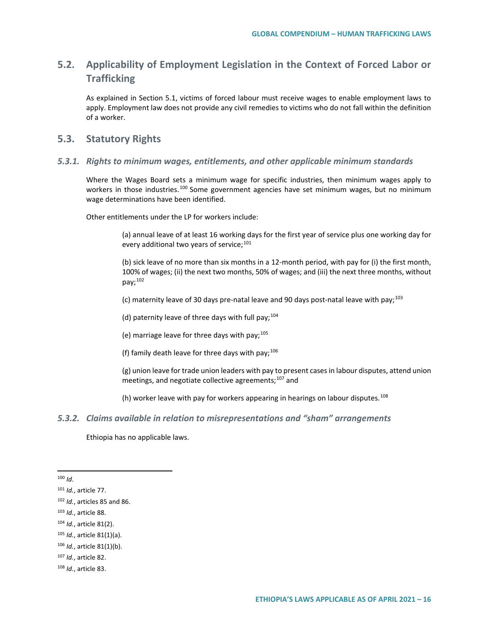# **5.2. Applicability of Employment Legislation in the Context of Forced Labor or Trafficking**

As explained in Section 5.1, victims of forced labour must receive wages to enable employment laws to apply. Employment law does not provide any civil remedies to victims who do not fall within the definition of a worker.

### **5.3. Statutory Rights**

#### *5.3.1. Rights to minimum wages, entitlements, and other applicable minimum standards*

Where the Wages Board sets a minimum wage for specific industries, then minimum wages apply to workers in those industries.<sup>[100](#page-15-0)</sup> Some government agencies have set minimum wages, but no minimum wage determinations have been identified.

Other entitlements under the LP for workers include:

(a) annual leave of at least 16 working days for the first year of service plus one working day for every additional two years of service; $101$ 

(b) sick leave of no more than six months in a 12-month period, with pay for (i) the first month, 100% of wages; (ii) the next two months, 50% of wages; and (iii) the next three months, without  $pay: <sup>102</sup>$  $pay: <sup>102</sup>$  $pay: <sup>102</sup>$ 

(c) maternity leave of 30 days pre-natal leave and 90 days post-natal leave with pay; $^{103}$  $^{103}$  $^{103}$ 

(d) paternity leave of three days with full pay;  $104$ 

(e) marriage leave for three days with pay;  $105$ 

(f) family death leave for three days with pay:  $106$ 

(g) union leave for trade union leaders with pay to present cases in labour disputes, attend union meetings, and negotiate collective agreements;<sup>[107](#page-15-7)</sup> and

(h) worker leave with pay for workers appearing in hearings on labour disputes.<sup>[108](#page-15-8)</sup>

### *5.3.2. Claims available in relation to misrepresentations and "sham" arrangements*

Ethiopia has no applicable laws.

<span id="page-15-0"></span>100 *Id*.

- <span id="page-15-4"></span><sup>104</sup> *Id.*, article 81(2).
- <span id="page-15-5"></span><sup>105</sup> *Id.*, article 81(1)(a).

<span id="page-15-7"></span><sup>107</sup> *Id.*, article 82.

<span id="page-15-1"></span><sup>101</sup> *Id.*, article 77.

<span id="page-15-2"></span><sup>102</sup> *Id.*, articles 85 and 86.

<span id="page-15-3"></span><sup>103</sup> *Id.*, article 88.

<span id="page-15-6"></span><sup>106</sup> *Id.*, article 81(1)(b).

<span id="page-15-8"></span><sup>108</sup> *Id.*, article 83.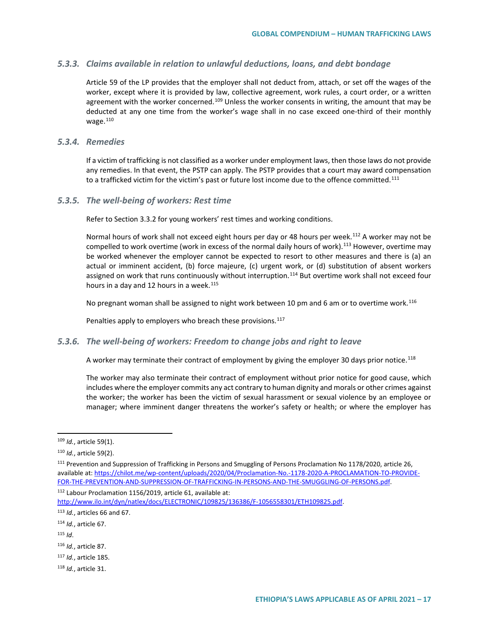#### *5.3.3. Claims available in relation to unlawful deductions, loans, and debt bondage*

Article 59 of the LP provides that the employer shall not deduct from, attach, or set off the wages of the worker, except where it is provided by law, collective agreement, work rules, a court order, or a written agreement with the worker concerned.<sup>[109](#page-16-0)</sup> Unless the worker consents in writing, the amount that may be deducted at any one time from the worker's wage shall in no case exceed one-third of their monthly wage. $110$ 

#### *5.3.4. Remedies*

If a victim of trafficking is not classified as a worker under employment laws, then those laws do not provide any remedies. In that event, the PSTP can apply. The PSTP provides that a court may award compensation to a trafficked victim for the victim's past or future lost income due to the offence committed.<sup>[111](#page-16-2)</sup>

#### *5.3.5. The well-being of workers: Rest time*

Refer to Section 3.3.2 for young workers' rest times and working conditions.

Normal hours of work shall not exceed eight hours per day or 48 hours per week.<sup>[112](#page-16-3)</sup> A worker may not be compelled to work overtime (work in excess of the normal daily hours of work).<sup>[113](#page-16-4)</sup> However, overtime may be worked whenever the employer cannot be expected to resort to other measures and there is (a) an actual or imminent accident, (b) force majeure, (c) urgent work, or (d) substitution of absent workers assigned on work that runs continuously without interruption.<sup>[114](#page-16-5)</sup> But overtime work shall not exceed four hours in a day and 12 hours in a week.<sup>[115](#page-16-6)</sup>

No pregnant woman shall be assigned to night work between 10 pm and 6 am or to overtime work.<sup>[116](#page-16-7)</sup>

Penalties apply to employers who breach these provisions.<sup>[117](#page-16-8)</sup>

#### *5.3.6. The well-being of workers: Freedom to change jobs and right to leave*

A worker may terminate their contract of employment by giving the employer 30 days prior notice.<sup>[118](#page-16-9)</sup>

The worker may also terminate their contract of employment without prior notice for good cause, which includes where the employer commits any act contrary to human dignity and morals or other crimes against the worker; the worker has been the victim of sexual harassment or sexual violence by an employee or manager; where imminent danger threatens the worker's safety or health; or where the employer has

<span id="page-16-3"></span><sup>112</sup> Labour Proclamation 1156/2019, article 61, available at:

[http://www.ilo.int/dyn/natlex/docs/ELECTRONIC/109825/136386/F-1056558301/ETH109825.pdf.](http://www.ilo.int/dyn/natlex/docs/ELECTRONIC/109825/136386/F-1056558301/ETH109825.pdf)

- <span id="page-16-5"></span><sup>114</sup> *Id.*, article 67.
- <span id="page-16-6"></span><sup>115</sup> *Id*.

<span id="page-16-7"></span><sup>116</sup> *Id.*, article 87.

- <span id="page-16-8"></span><sup>117</sup> *Id.*, article 185.
- <span id="page-16-9"></span><sup>118</sup> *Id.*, article 31.

<span id="page-16-0"></span> <sup>109</sup> *Id.*, article 59(1).

<span id="page-16-1"></span><sup>110</sup> *Id.*, article 59(2).

<span id="page-16-2"></span><sup>111</sup> Prevention and Suppression of Trafficking in Persons and Smuggling of Persons Proclamation No 1178/2020, article 26, available at[: https://chilot.me/wp-content/uploads/2020/04/Proclamation-No.-1178-2020-A-PROCLAMATION-TO-PROVIDE-](https://chilot.me/wp-content/uploads/2020/04/Proclamation-No.-1178-2020-A-PROCLAMATION-TO-PROVIDE-FOR-THE-PREVENTION-AND-SUPPRESSION-OF-TRAFFICKING-IN-PERSONS-AND-THE-SMUGGLING-OF-PERSONS.pdf)[FOR-THE-PREVENTION-AND-SUPPRESSION-OF-TRAFFICKING-IN-PERSONS-AND-THE-SMUGGLING-OF-PERSONS.pdf.](https://chilot.me/wp-content/uploads/2020/04/Proclamation-No.-1178-2020-A-PROCLAMATION-TO-PROVIDE-FOR-THE-PREVENTION-AND-SUPPRESSION-OF-TRAFFICKING-IN-PERSONS-AND-THE-SMUGGLING-OF-PERSONS.pdf)

<span id="page-16-4"></span><sup>113</sup> *Id.*, articles 66 and 67.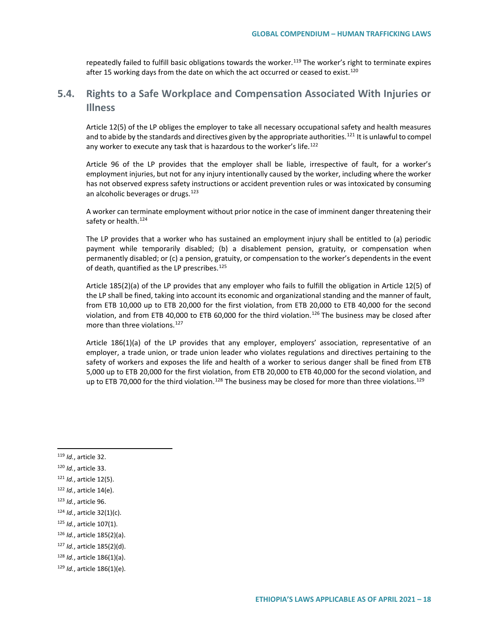repeatedly failed to fulfill basic obligations towards the worker.<sup>[119](#page-17-0)</sup> The worker's right to terminate expires after 15 working days from the date on which the act occurred or ceased to exist.<sup>[120](#page-17-1)</sup>

# **5.4. Rights to a Safe Workplace and Compensation Associated With Injuries or Illness**

Article 12(5) of the LP obliges the employer to take all necessary occupational safety and health measures and to abide by the standards and directives given by the appropriate authorities.<sup>[121](#page-17-2)</sup> It is unlawful to compel any worker to execute any task that is hazardous to the worker's life.<sup>[122](#page-17-3)</sup>

Article 96 of the LP provides that the employer shall be liable, irrespective of fault, for a worker's employment injuries, but not for any injury intentionally caused by the worker, including where the worker has not observed express safety instructions or accident prevention rules or was intoxicated by consuming an alcoholic beverages or drugs.<sup>[123](#page-17-4)</sup>

A worker can terminate employment without prior notice in the case of imminent danger threatening their safety or health.<sup>[124](#page-17-5)</sup>

The LP provides that a worker who has sustained an employment injury shall be entitled to (a) periodic payment while temporarily disabled; (b) a disablement pension, gratuity, or compensation when permanently disabled; or (c) a pension, gratuity, or compensation to the worker's dependents in the event of death, quantified as the LP prescribes.<sup>[125](#page-17-6)</sup>

Article 185(2)(a) of the LP provides that any employer who fails to fulfill the obligation in Article 12(5) of the LP shall be fined, taking into account its economic and organizational standing and the manner of fault, from ETB 10,000 up to ETB 20,000 for the first violation, from ETB 20,000 to ETB 40,000 for the second violation, and from ETB 40,000 to ETB 60,000 for the third violation.<sup>[126](#page-17-7)</sup> The business may be closed after more than three violations.<sup>127</sup>

Article 186(1)(a) of the LP provides that any employer, employers' association, representative of an employer, a trade union, or trade union leader who violates regulations and directives pertaining to the safety of workers and exposes the life and health of a worker to serious danger shall be fined from ETB 5,000 up to ETB 20,000 for the first violation, from ETB 20,000 to ETB 40,000 for the second violation, and up to ETB 70,000 for the third violation.<sup>[128](#page-17-9)</sup> The business may be closed for more than three violations.<sup>[129](#page-17-10)</sup>

<span id="page-17-0"></span>119 *Id.*, article 32.

<span id="page-17-1"></span><sup>120</sup> *Id.*, article 33.

<span id="page-17-2"></span><sup>121</sup> *Id.*, article 12(5).

<span id="page-17-3"></span><sup>122</sup> *Id.*, article 14(e).

<span id="page-17-4"></span><sup>123</sup> *Id.*, article 96.

<span id="page-17-5"></span><sup>124</sup> *Id.*, article 32(1)(c).

<span id="page-17-6"></span><sup>125</sup> *Id.*, article 107(1).

<span id="page-17-7"></span><sup>126</sup> *Id.*, article 185(2)(a).

<span id="page-17-8"></span><sup>127</sup> *Id.*, article 185(2)(d).

<span id="page-17-9"></span><sup>128</sup> *Id.*, article 186(1)(a).

<span id="page-17-10"></span><sup>129</sup> *Id.*, article 186(1)(e).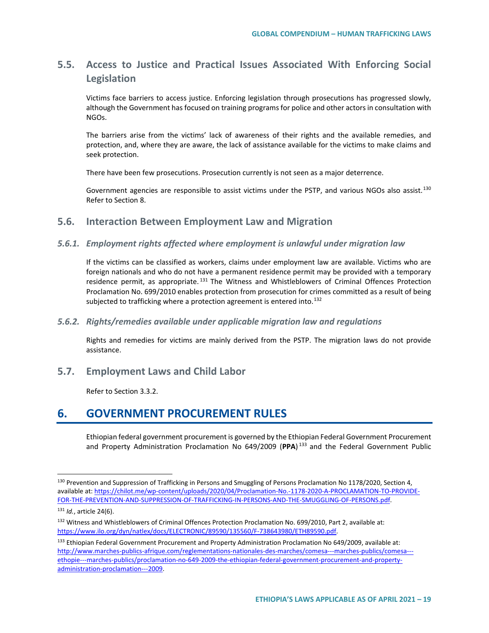# **5.5. Access to Justice and Practical Issues Associated With Enforcing Social Legislation**

Victims face barriers to access justice. Enforcing legislation through prosecutions has progressed slowly, although the Government has focused on training programs for police and other actors in consultation with NGOs.

The barriers arise from the victims' lack of awareness of their rights and the available remedies, and protection, and, where they are aware, the lack of assistance available for the victims to make claims and seek protection.

There have been few prosecutions. Prosecution currently is not seen as a major deterrence.

Government agencies are responsible to assist victims under the PSTP, and various NGOs also assist.<sup>[130](#page-18-0)</sup> Refer to Section 8.

## **5.6. Interaction Between Employment Law and Migration**

### *5.6.1. Employment rights affected where employment is unlawful under migration law*

If the victims can be classified as workers, claims under employment law are available. Victims who are foreign nationals and who do not have a permanent residence permit may be provided with a temporary residence permit, as appropriate.<sup>[131](#page-18-1)</sup> The Witness and Whistleblowers of Criminal Offences Protection Proclamation No. 699/2010 enables protection from prosecution for crimes committed as a result of being subjected to trafficking where a protection agreement is entered into.<sup>[132](#page-18-2)</sup>

#### *5.6.2. Rights/remedies available under applicable migration law and regulations*

Rights and remedies for victims are mainly derived from the PSTP. The migration laws do not provide assistance.

**5.7. Employment Laws and Child Labor**

Refer to Section 3.3.2.

# **6. GOVERNMENT PROCUREMENT RULES**

Ethiopian federal government procurement is governed by the Ethiopian Federal Government Procurement and Property Administration Proclamation No 649/2009 (**PPA**) [133](#page-18-3) and the Federal Government Public

<span id="page-18-0"></span><sup>&</sup>lt;sup>130</sup> Prevention and Suppression of Trafficking in Persons and Smuggling of Persons Proclamation No 1178/2020, Section 4, available at[: https://chilot.me/wp-content/uploads/2020/04/Proclamation-No.-1178-2020-A-PROCLAMATION-TO-PROVIDE-](https://chilot.me/wp-content/uploads/2020/04/Proclamation-No.-1178-2020-A-PROCLAMATION-TO-PROVIDE-FOR-THE-PREVENTION-AND-SUPPRESSION-OF-TRAFFICKING-IN-PERSONS-AND-THE-SMUGGLING-OF-PERSONS.pdf)[FOR-THE-PREVENTION-AND-SUPPRESSION-OF-TRAFFICKING-IN-PERSONS-AND-THE-SMUGGLING-OF-PERSONS.pdf.](https://chilot.me/wp-content/uploads/2020/04/Proclamation-No.-1178-2020-A-PROCLAMATION-TO-PROVIDE-FOR-THE-PREVENTION-AND-SUPPRESSION-OF-TRAFFICKING-IN-PERSONS-AND-THE-SMUGGLING-OF-PERSONS.pdf)

<span id="page-18-1"></span><sup>131</sup> *Id.*, article 24(6).

<span id="page-18-2"></span><sup>132</sup> Witness and Whistleblowers of Criminal Offences Protection Proclamation No. 699/2010, Part 2, available at: [https://www.ilo.org/dyn/natlex/docs/ELECTRONIC/89590/135560/F-738643980/ETH89590.pdf.](https://www.ilo.org/dyn/natlex/docs/ELECTRONIC/89590/135560/F-738643980/ETH89590.pdf)

<span id="page-18-3"></span><sup>&</sup>lt;sup>133</sup> Ethiopian Federal Government Procurement and Property Administration Proclamation No 649/2009, available at: [http://www.marches-publics-afrique.com/reglementations-nationales-des-marches/comesa---marches-publics/comesa--](http://www.marches-publics-afrique.com/reglementations-nationales-des-marches/comesa---marches-publics/comesa---ethopie---marches-publics/proclamation-no-649-2009-the-ethiopian-federal-government-procurement-and-property-administration-proclamation---2009) [ethopie---marches-publics/proclamation-no-649-2009-the-ethiopian-federal-government-procurement-and-property](http://www.marches-publics-afrique.com/reglementations-nationales-des-marches/comesa---marches-publics/comesa---ethopie---marches-publics/proclamation-no-649-2009-the-ethiopian-federal-government-procurement-and-property-administration-proclamation---2009)[administration-proclamation---2009.](http://www.marches-publics-afrique.com/reglementations-nationales-des-marches/comesa---marches-publics/comesa---ethopie---marches-publics/proclamation-no-649-2009-the-ethiopian-federal-government-procurement-and-property-administration-proclamation---2009)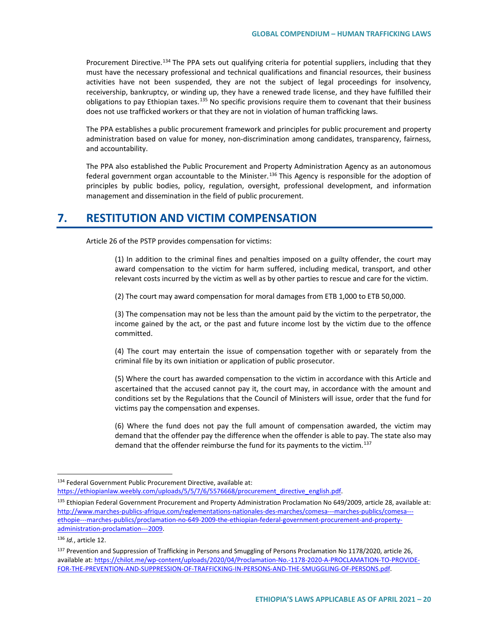Procurement Directive.<sup>[134](#page-19-0)</sup> The PPA sets out qualifying criteria for potential suppliers, including that they must have the necessary professional and technical qualifications and financial resources, their business activities have not been suspended, they are not the subject of legal proceedings for insolvency, receivership, bankruptcy, or winding up, they have a renewed trade license, and they have fulfilled their obligations to pay Ethiopian taxes.<sup>[135](#page-19-1)</sup> No specific provisions require them to covenant that their business does not use trafficked workers or that they are not in violation of human trafficking laws.

The PPA establishes a public procurement framework and principles for public procurement and property administration based on value for money, non-discrimination among candidates, transparency, fairness, and accountability.

The PPA also established the Public Procurement and Property Administration Agency as an autonomous federal government organ accountable to the Minister.<sup>[136](#page-19-2)</sup> This Agency is responsible for the adoption of principles by public bodies, policy, regulation, oversight, professional development, and information management and dissemination in the field of public procurement.

# **7. RESTITUTION AND VICTIM COMPENSATION**

Article 26 of the PSTP provides compensation for victims:

(1) In addition to the criminal fines and penalties imposed on a guilty offender, the court may award compensation to the victim for harm suffered, including medical, transport, and other relevant costs incurred by the victim as well as by other parties to rescue and care for the victim.

(2) The court may award compensation for moral damages from ETB 1,000 to ETB 50,000.

(3) The compensation may not be less than the amount paid by the victim to the perpetrator, the income gained by the act, or the past and future income lost by the victim due to the offence committed.

(4) The court may entertain the issue of compensation together with or separately from the criminal file by its own initiation or application of public prosecutor.

(5) Where the court has awarded compensation to the victim in accordance with this Article and ascertained that the accused cannot pay it, the court may, in accordance with the amount and conditions set by the Regulations that the Council of Ministers will issue, order that the fund for victims pay the compensation and expenses.

(6) Where the fund does not pay the full amount of compensation awarded, the victim may demand that the offender pay the difference when the offender is able to pay. The state also may demand that the offender reimburse the fund for its payments to the victim.<sup>[137](#page-19-3)</sup>

<span id="page-19-0"></span><sup>134</sup> Federal Government Public Procurement Directive, available at: [https://ethiopianlaw.weebly.com/uploads/5/5/7/6/5576668/procurement\\_directive\\_english.pdf.](https://ethiopianlaw.weebly.com/uploads/5/5/7/6/5576668/procurement_directive_english.pdf)

<span id="page-19-1"></span><sup>135</sup> Ethiopian Federal Government Procurement and Property Administration Proclamation No 649/2009, article 28, available at: [http://www.marches-publics-afrique.com/reglementations-nationales-des-marches/comesa---marches-publics/comesa--](http://www.marches-publics-afrique.com/reglementations-nationales-des-marches/comesa---marches-publics/comesa---ethopie---marches-publics/proclamation-no-649-2009-the-ethiopian-federal-government-procurement-and-property-administration-proclamation---2009) [ethopie---marches-publics/proclamation-no-649-2009-the-ethiopian-federal-government-procurement-and-property](http://www.marches-publics-afrique.com/reglementations-nationales-des-marches/comesa---marches-publics/comesa---ethopie---marches-publics/proclamation-no-649-2009-the-ethiopian-federal-government-procurement-and-property-administration-proclamation---2009)[administration-proclamation---2009.](http://www.marches-publics-afrique.com/reglementations-nationales-des-marches/comesa---marches-publics/comesa---ethopie---marches-publics/proclamation-no-649-2009-the-ethiopian-federal-government-procurement-and-property-administration-proclamation---2009)

<span id="page-19-2"></span><sup>136</sup> *Id.*, article 12.

<span id="page-19-3"></span><sup>&</sup>lt;sup>137</sup> Prevention and Suppression of Trafficking in Persons and Smuggling of Persons Proclamation No 1178/2020, article 26, available at[: https://chilot.me/wp-content/uploads/2020/04/Proclamation-No.-1178-2020-A-PROCLAMATION-TO-PROVIDE-](https://chilot.me/wp-content/uploads/2020/04/Proclamation-No.-1178-2020-A-PROCLAMATION-TO-PROVIDE-FOR-THE-PREVENTION-AND-SUPPRESSION-OF-TRAFFICKING-IN-PERSONS-AND-THE-SMUGGLING-OF-PERSONS.pdf)[FOR-THE-PREVENTION-AND-SUPPRESSION-OF-TRAFFICKING-IN-PERSONS-AND-THE-SMUGGLING-OF-PERSONS.pdf.](https://chilot.me/wp-content/uploads/2020/04/Proclamation-No.-1178-2020-A-PROCLAMATION-TO-PROVIDE-FOR-THE-PREVENTION-AND-SUPPRESSION-OF-TRAFFICKING-IN-PERSONS-AND-THE-SMUGGLING-OF-PERSONS.pdf)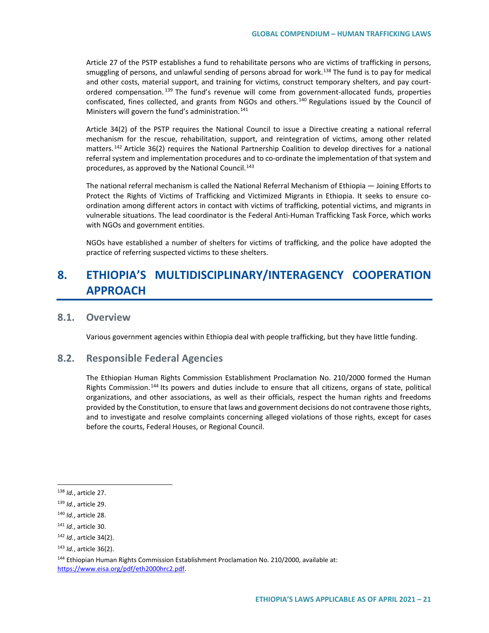Article 27 of the PSTP establishes a fund to rehabilitate persons who are victims of trafficking in persons, smuggling of persons, and unlawful sending of persons abroad for work.<sup>[138](#page-20-0)</sup> The fund is to pay for medical and other costs, material support, and training for victims, construct temporary shelters, and pay court-ordered compensation.<sup>[139](#page-20-1)</sup> The fund's revenue will come from government-allocated funds, properties confiscated, fines collected, and grants from NGOs and others.<sup>[140](#page-20-2)</sup> Regulations issued by the Council of Ministers will govern the fund's administration.<sup>[141](#page-20-3)</sup>

Article 34(2) of the PSTP requires the National Council to issue a Directive creating a national referral mechanism for the rescue, rehabilitation, support, and reintegration of victims, among other related matters.<sup>[142](#page-20-4)</sup> Article 36(2) requires the National Partnership Coalition to develop directives for a national referral system and implementation procedures and to co-ordinate the implementation of that system and procedures, as approved by the National Council.<sup>[143](#page-20-5)</sup>

The national referral mechanism is called the National Referral Mechanism of Ethiopia — Joining Efforts to Protect the Rights of Victims of Trafficking and Victimized Migrants in Ethiopia. It seeks to ensure coordination among different actors in contact with victims of trafficking, potential victims, and migrants in vulnerable situations. The lead coordinator is the Federal Anti-Human Trafficking Task Force, which works with NGOs and government entities.

NGOs have established a number of shelters for victims of trafficking, and the police have adopted the practice of referring suspected victims to these shelters.

# **8. ETHIOPIA'S MULTIDISCIPLINARY/INTERAGENCY COOPERATION APPROACH**

# **8.1. Overview**

Various government agencies within Ethiopia deal with people trafficking, but they have little funding.

### **8.2. Responsible Federal Agencies**

The Ethiopian Human Rights Commission Establishment Proclamation No. 210/2000 formed the Human Rights Commission.[144](#page-20-6) Its powers and duties include to ensure that all citizens, organs of state, political organizations, and other associations, as well as their officials, respect the human rights and freedoms provided by the Constitution, to ensure that laws and government decisions do not contravene those rights, and to investigate and resolve complaints concerning alleged violations of those rights, except for cases before the courts, Federal Houses, or Regional Council.

<span id="page-20-0"></span> <sup>138</sup> *Id.*, article 27.

<span id="page-20-1"></span><sup>139</sup> *Id.*, article 29.

<span id="page-20-2"></span><sup>140</sup> *Id.*, article 28.

<span id="page-20-3"></span><sup>141</sup> *Id.*, article 30.

<span id="page-20-4"></span><sup>142</sup> *Id.*, article 34(2).

<span id="page-20-5"></span><sup>143</sup> *Id.*, article 36(2).

<span id="page-20-6"></span><sup>144</sup> Ethiopian Human Rights Commission Establishment Proclamation No. 210/2000, available at: [https://www.eisa.org/pdf/eth2000hrc2.pdf.](https://www.eisa.org/pdf/eth2000hrc2.pdf)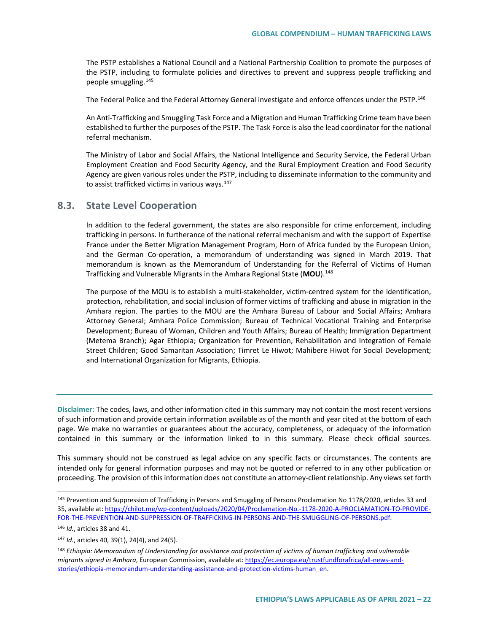The PSTP establishes a National Council and a National Partnership Coalition to promote the purposes of the PSTP, including to formulate policies and directives to prevent and suppress people trafficking and people smuggling.[145](#page-21-0)

The Federal Police and the Federal Attorney General investigate and enforce offences under the PSTP.<sup>[146](#page-21-1)</sup>

An Anti-Trafficking and Smuggling Task Force and a Migration and Human Trafficking Crime team have been established to further the purposes of the PSTP. The Task Force is also the lead coordinator for the national referral mechanism.

The Ministry of Labor and Social Affairs, the National Intelligence and Security Service, the Federal Urban Employment Creation and Food Security Agency, and the Rural Employment Creation and Food Security Agency are given various roles under the PSTP, including to disseminate information to the community and to assist trafficked victims in various ways.<sup>[147](#page-21-2)</sup>

#### **8.3. State Level Cooperation**

In addition to the federal government, the states are also responsible for crime enforcement, including trafficking in persons. In furtherance of the national referral mechanism and with the support of Expertise France under the Better Migration Management Program, Horn of Africa funded by the European Union, and the German Co-operation, a memorandum of understanding was signed in March 2019. That memorandum is known as the Memorandum of Understanding for the Referral of Victims of Human Trafficking and Vulnerable Migrants in the Amhara Regional State (**MOU**).[148](#page-21-3)

The purpose of the MOU is to establish a multi-stakeholder, victim-centred system for the identification, protection, rehabilitation, and social inclusion of former victims of trafficking and abuse in migration in the Amhara region. The parties to the MOU are the Amhara Bureau of Labour and Social Affairs; Amhara Attorney General; Amhara Police Commission; Bureau of Technical Vocational Training and Enterprise Development; Bureau of Woman, Children and Youth Affairs; Bureau of Health; Immigration Department (Metema Branch); Agar Ethiopia; Organization for Prevention, Rehabilitation and Integration of Female Street Children; Good Samaritan Association; Timret Le Hiwot; Mahibere Hiwot for Social Development; and International Organization for Migrants, Ethiopia.

**Disclaimer:** The codes, laws, and other information cited in this summary may not contain the most recent versions of such information and provide certain information available as of the month and year cited at the bottom of each page. We make no warranties or guarantees about the accuracy, completeness, or adequacy of the information contained in this summary or the information linked to in this summary. Please check official sources.

This summary should not be construed as legal advice on any specific facts or circumstances. The contents are intended only for general information purposes and may not be quoted or referred to in any other publication or proceeding. The provision of this information does not constitute an attorney-client relationship. Any views set forth

<span id="page-21-0"></span><sup>&</sup>lt;sup>145</sup> Prevention and Suppression of Trafficking in Persons and Smuggling of Persons Proclamation No 1178/2020, articles 33 and 35, available at[: https://chilot.me/wp-content/uploads/2020/04/Proclamation-No.-1178-2020-A-PROCLAMATION-TO-PROVIDE-](https://chilot.me/wp-content/uploads/2020/04/Proclamation-No.-1178-2020-A-PROCLAMATION-TO-PROVIDE-FOR-THE-PREVENTION-AND-SUPPRESSION-OF-TRAFFICKING-IN-PERSONS-AND-THE-SMUGGLING-OF-PERSONS.pdf)[FOR-THE-PREVENTION-AND-SUPPRESSION-OF-TRAFFICKING-IN-PERSONS-AND-THE-SMUGGLING-OF-PERSONS.pdf.](https://chilot.me/wp-content/uploads/2020/04/Proclamation-No.-1178-2020-A-PROCLAMATION-TO-PROVIDE-FOR-THE-PREVENTION-AND-SUPPRESSION-OF-TRAFFICKING-IN-PERSONS-AND-THE-SMUGGLING-OF-PERSONS.pdf)

<span id="page-21-1"></span><sup>146</sup> *Id.*, articles 38 and 41.

<span id="page-21-2"></span><sup>147</sup> *Id.*, articles 40, 39(1), 24(4), and 24(5).

<span id="page-21-3"></span><sup>148</sup> *Ethiopia: Memorandum of Understanding for assistance and protection of victims of human trafficking and vulnerable migrants signed in Amhara*, European Commission, available at[: https://ec.europa.eu/trustfundforafrica/all-news-and](https://ec.europa.eu/trustfundforafrica/all-news-and-stories/ethiopia-memorandum-understanding-assistance-and-protection-victims-human_en)[stories/ethiopia-memorandum-understanding-assistance-and-protection-victims-human\\_en.](https://ec.europa.eu/trustfundforafrica/all-news-and-stories/ethiopia-memorandum-understanding-assistance-and-protection-victims-human_en)